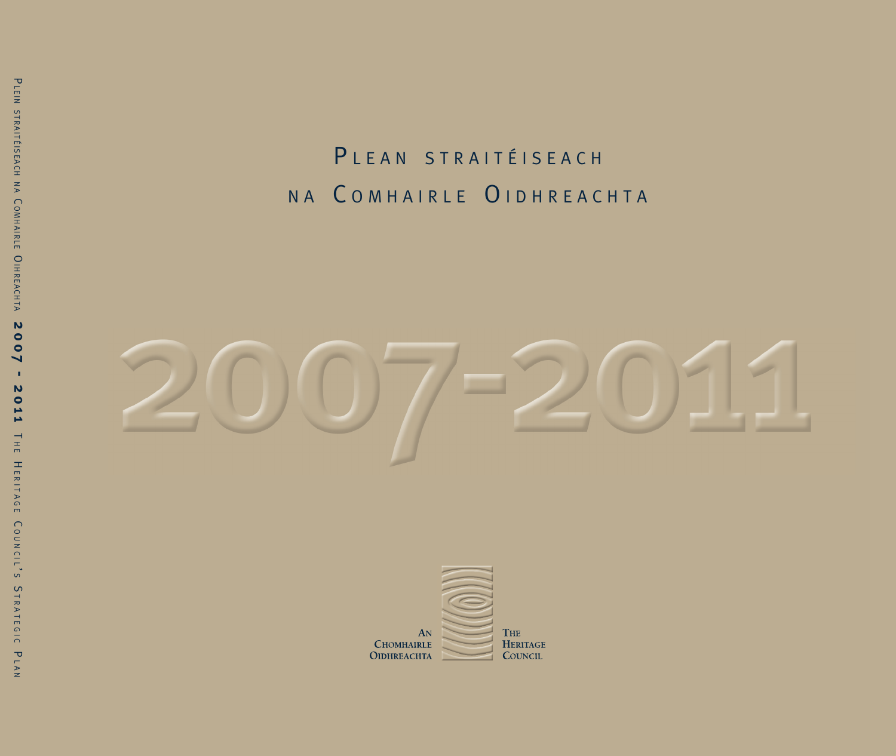# PLEAN STRAITÉISEACH NA COMHAIRLE OIDHREACHTA



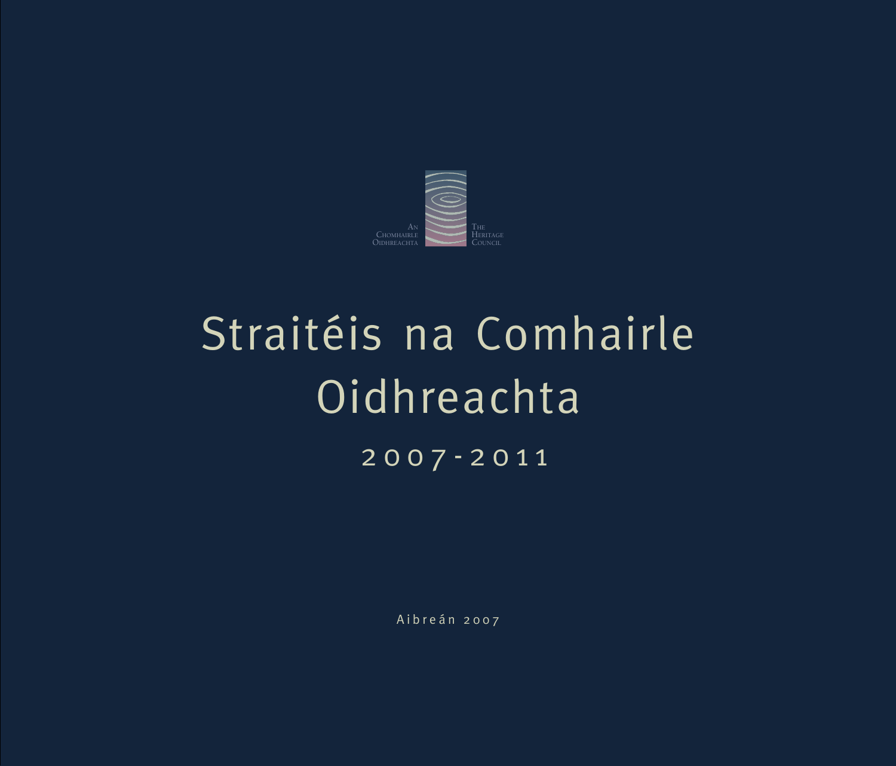

# Straitéis na Comhairle Oidhreachta 2 0 0 7 - 2 0 1 1

Aibreán 2007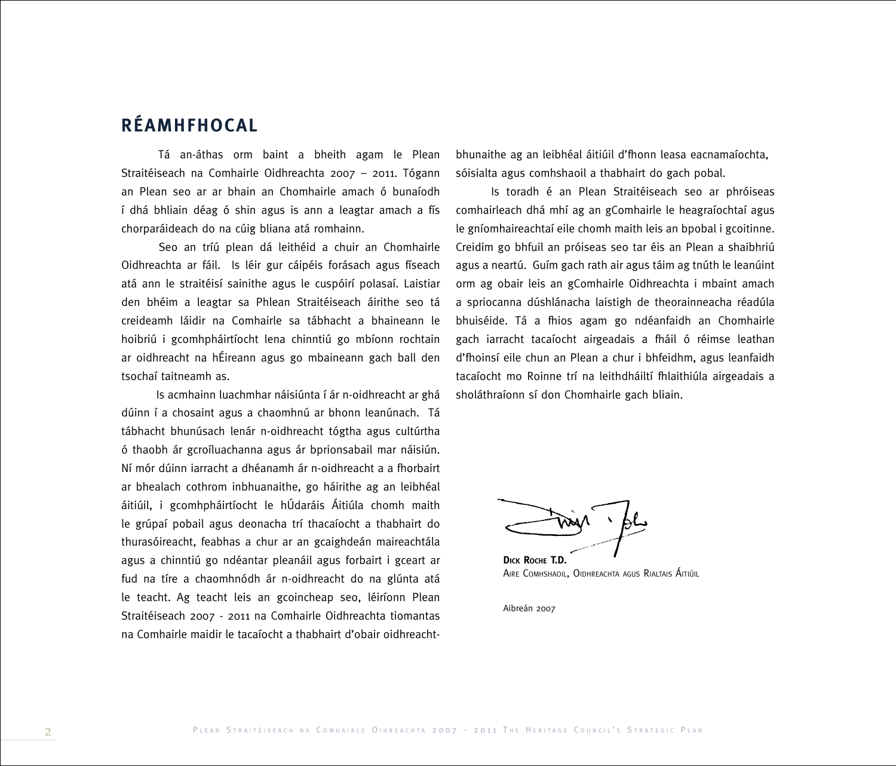#### **RÉAMHFHOCAL**

 Tá an-áthas orm baint a bheith agam le Plean Straitéiseach na Comhairle Oidhreachta 2007 – 2011. Tógann an Plean seo ar ar bhain an Chomhairle amach ó bunaíodh í dhá bhliain déag ó shin agus is ann a leagtar amach a fís chorparáideach do na cúig bliana atá romhainn.

 Seo an tríú plean dá leithéid a chuir an Chomhairle Oidhreachta ar fáil. Is léir gur cáipéis forásach agus físeach atá ann le straitéisí sainithe agus le cuspóirí polasaí. Laistiar den bhéim a leagtar sa Phlean Straitéiseach áirithe seo tá creideamh láidir na Comhairle sa tábhacht a bhaineann le hoibriú i gcomhpháirtíocht lena chinntiú go mbíonn rochtain ar oidhreacht na hÉireann agus go mbaineann gach ball den tsochaí taitneamh as.

 Is acmhainn luachmhar náisiúnta í ár n-oidhreacht ar ghá dúinn í a chosaint agus a chaomhnú ar bhonn leanúnach. Tá tábhacht bhunúsach lenár n-oidhreacht tógtha agus cultúrtha ó thaobh ár gcroíluachanna agus ár bprionsabail mar náisiún. Ní mór dúinn iarracht a dhéanamh ár n-oidhreacht a a fhorbairt ar bhealach cothrom inbhuanaithe, go háirithe ag an leibhéal áitiúil, i gcomhpháirtíocht le hÚdaráis Áitiúla chomh maith le grúpaí pobail agus deonacha trí thacaíocht a thabhairt do thurasóireacht, feabhas a chur ar an gcaighdeán maireachtála agus a chinntiú go ndéantar pleanáil agus forbairt i gceart ar fud na tíre a chaomhnódh ár n-oidhreacht do na glúnta atá le teacht. Ag teacht leis an gcoincheap seo, léiríonn Plean Straitéiseach 2007 - 2011 na Comhairle Oidhreachta tiomantas na Comhairle maidir le tacaíocht a thabhairt d'obair oidhreachtbhunaithe ag an leibhéal áitiúil d'fhonn leasa eacnamaíochta, sóisialta agus comhshaoil a thabhairt do gach pobal.

 Is toradh é an Plean Straitéiseach seo ar phróiseas comhairleach dhá mhí ag an gComhairle le heagraíochtaí agus le gníomhaireachtaí eile chomh maith leis an bpobal i gcoitinne. Creidim go bhfuil an próiseas seo tar éis an Plean a shaibhriú agus a neartú. Guím gach rath air agus táim ag tnúth le leanúint orm ag obair leis an gComhairle Oidhreachta i mbaint amach a spriocanna dúshlánacha laistigh de theorainneacha réadúla bhuiséide. Tá a fhios agam go ndéanfaidh an Chomhairle gach iarracht tacaíocht airgeadais a fháil ó réimse leathan d'fhoinsí eile chun an Plean a chur i bhfeidhm, agus leanfaidh tacaíocht mo Roinne trí na leithdháiltí fhlaithiúla airgeadais a sholáthraíonn sí don Chomhairle gach bliain.

 **DICK ROCHE T.D.** AIRE COMHSHAOIL, OIDHREACHTA AGUS RIALTAIS ÁITIÚIL

Aibreán 2007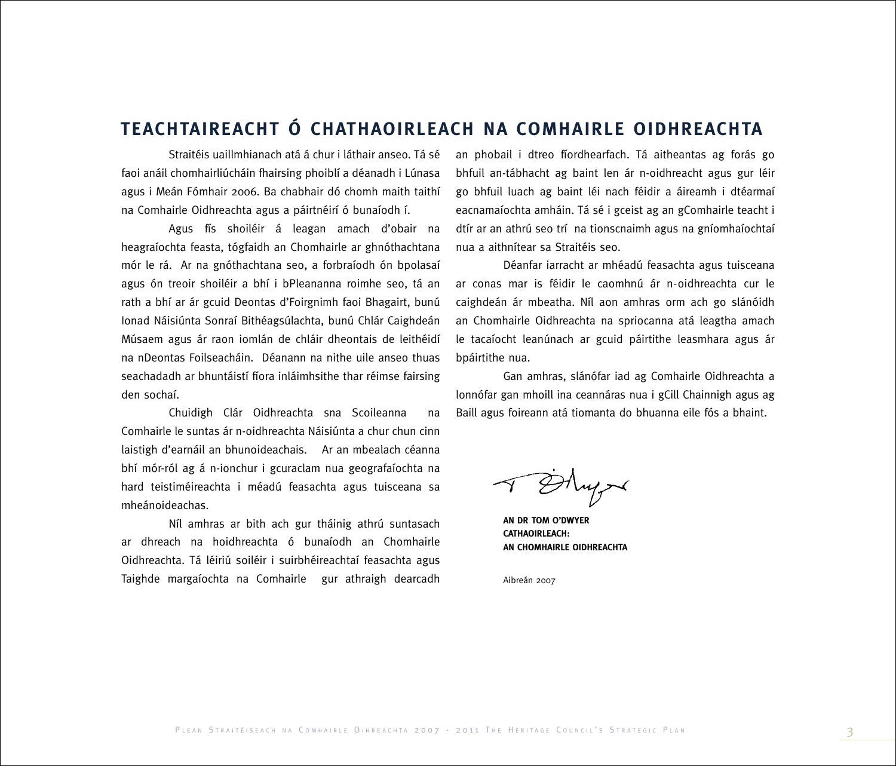#### **TEACHTAIREACHT Ó CHATHAOIRLEACH NA COMHAIRLE OIDHREACHTA**

 Straitéis uaillmhianach atá á chur i láthair anseo. Tá sé faoi anáil chomhairliúcháin fhairsing phoiblí a déanadh i Lúnasa agus i Meán Fómhair 2006. Ba chabhair dó chomh maith taithí na Comhairle Oidhreachta agus a páirtnéirí ó bunaíodh í.

 Agus fís shoiléir á leagan amach d'obair na heagraíochta feasta, tógfaidh an Chomhairle ar ghnóthachtana mór le rá. Ar na gnóthachtana seo, a forbraíodh ón bpolasaí agus ón treoir shoiléir a bhí i bPleananna roimhe seo, tá an rath a bhí ar ár gcuid Deontas d'Foirgnimh faoi Bhagairt, bunú Ionad Náisiúnta Sonraí Bithéagsúlachta, bunú Chlár Caighdeán Músaem agus ár raon iomlán de chláir dheontais de leithéidí na nDeontas Foilseacháin. Déanann na nithe uile anseo thuas seachadadh ar bhuntáistí fíora inláimhsithe thar réimse fairsing den sochaí.

 Chuidigh Clár Oidhreachta sna Scoileanna na Comhairle le suntas ár n-oidhreachta Náisiúnta a chur chun cinn laistigh d'earnáil an bhunoideachais. Ar an mbealach céanna bhí mór-ról ag á n-ionchur i gcuraclam nua geografaíochta na hard teistiméireachta i méadú feasachta agus tuisceana sa mheánoideachas.

 Níl amhras ar bith ach gur tháinig athrú suntasach ar dhreach na hoidhreachta ó bunaíodh an Chomhairle Oidhreachta. Tá léiriú soiléir i suirbhéireachtaí feasachta agus Taighde margaíochta na Comhairle gur athraigh dearcadh an phobail i dtreo fíordhearfach. Tá aitheantas ag forás go bhfuil an-tábhacht ag baint len ár n-oidhreacht agus gur léir go bhfuil luach ag baint léi nach féidir a áireamh i dtéarmaí eacnamaíochta amháin. Tá sé i gceist ag an gComhairle teacht i dtír ar an athrú seo trí na tionscnaimh agus na gníomhaíochtaí nua a aithnítear sa Straitéis seo.

 Déanfar iarracht ar mhéadú feasachta agus tuisceana ar conas mar is féidir le caomhnú ár n-oidhreachta cur le caighdeán ár mbeatha. Níl aon amhras orm ach go slánóidh an Chomhairle Oidhreachta na spriocanna atá leagtha amach le tacaíocht leanúnach ar gcuid páirtithe leasmhara agus ár bpáirtithe nua.

 Gan amhras, slánófar iad ag Comhairle Oidhreachta a lonnófar gan mhoill ina ceannáras nua i gCill Chainnigh agus ag Baill agus foireann atá tiomanta do bhuanna eile fós a bhaint.

DAnyre

 **AN DR TOM O'DWYER CATHAOIRLEACH: AN CHOMHAIRLE OIDHREACHTA**

Aibreán 2007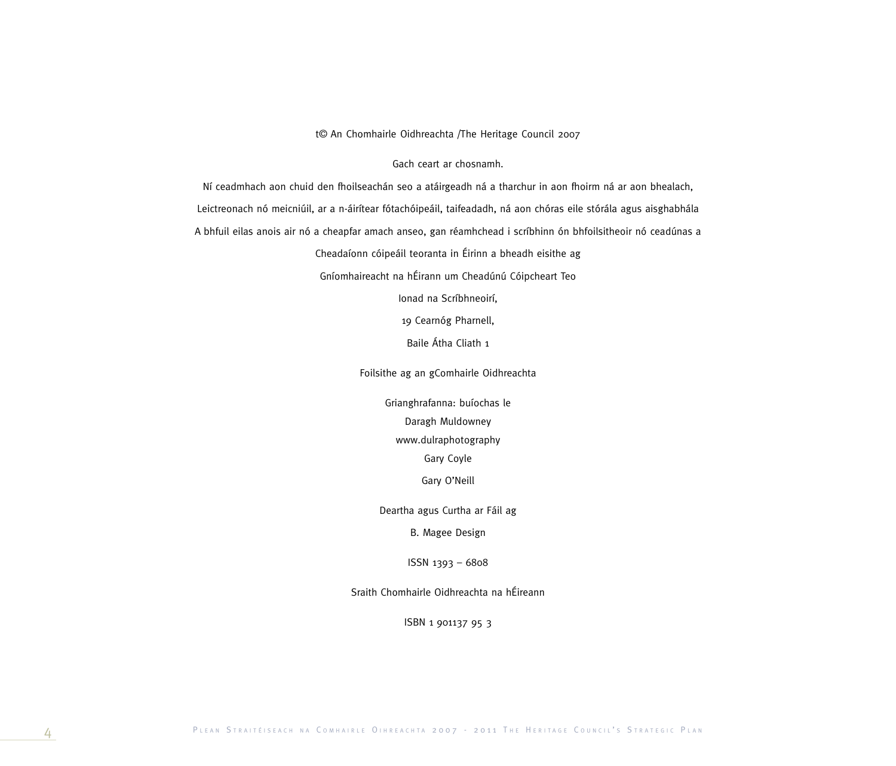t© An Chomhairle Oidhreachta /The Heritage Council 2007

Gach ceart ar chosnamh.

Ní ceadmhach aon chuid den fhoilseachán seo a atáirgeadh ná a tharchur in aon fhoirm ná ar aon bhealach,

Leictreonach nó meicniúil, ar a n-áirítear fótachóipeáil, taifeadadh, ná aon chóras eile stórála agus aisghabhála

A bhfuil eilas anois air nó a cheapfar amach anseo, gan réamhchead i scríbhinn ón bhfoilsitheoir nó ceadúnas a

Cheadaíonn cóipeáil teoranta in Éirinn a bheadh eisithe ag

Gníomhaireacht na hÉirann um Cheadúnú Cóipcheart Teo

Ionad na Scríbhneoirí,

19 Cearnóg Pharnell,

Baile Átha Cliath 1

Foilsithe ag an gComhairle Oidhreachta

Grianghrafanna: buíochas le Daragh Muldowney www.dulraphotography Gary Coyle

Gary O'Neill

Deartha agus Curtha ar Fáil ag

B. Magee Design

ISSN 1393 – 6808

Sraith Chomhairle Oidhreachta na hÉireann

ISBN 1 901137 95 3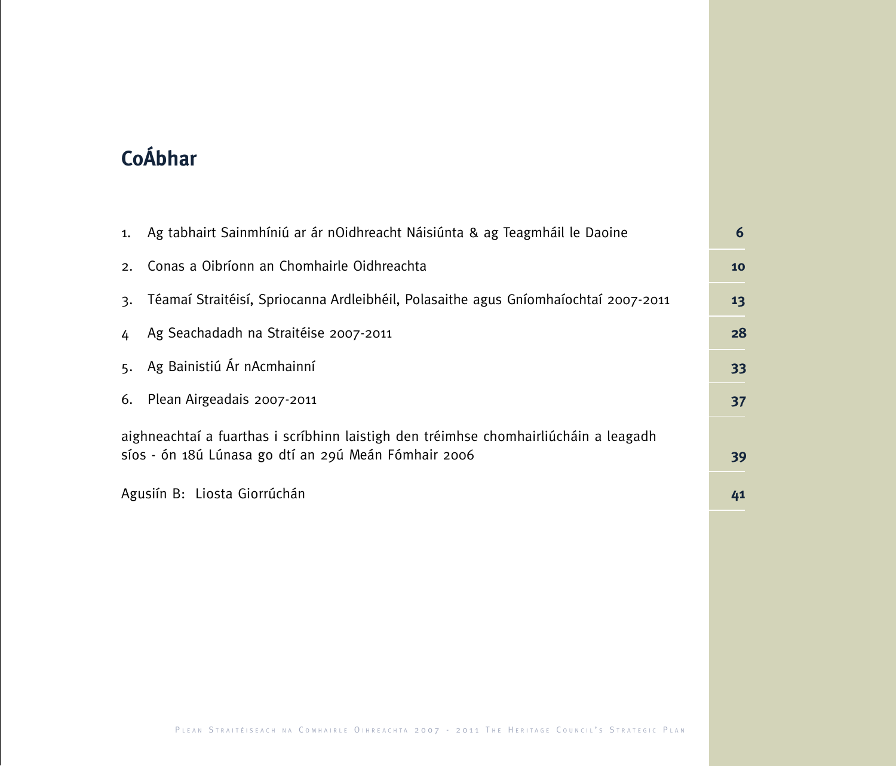# **CoÁbhar**

|                              | 1. Ag tabhairt Sainmhíniú ar ár nOidhreacht Náisiúnta & ag Teagmháil le Daoine                                                               |    |  |
|------------------------------|----------------------------------------------------------------------------------------------------------------------------------------------|----|--|
|                              | 2. Conas a Oibríonn an Chomhairle Oidhreachta                                                                                                |    |  |
| $\mathcal{R}$ .              | Téamaí Straitéisí, Spriocanna Ardleibhéil, Polasaithe agus Gníomhaíochtaí 2007-2011                                                          | 13 |  |
| 4                            | Ag Seachadadh na Straitéise 2007-2011                                                                                                        | 28 |  |
|                              | 5. Ag Bainistiú Ár nAcmhainní                                                                                                                | 33 |  |
|                              | 6. Plean Airgeadais 2007-2011                                                                                                                | 37 |  |
|                              | aighneachtaí a fuarthas i scríbhinn laistigh den tréimhse chomhairliúcháin a leagadh<br>síos - ón 18ú Lúnasa go dtí an 29ú Meán Fómhair 2006 |    |  |
| Agusiín B: Liosta Giorrúchán |                                                                                                                                              | 41 |  |
|                              |                                                                                                                                              |    |  |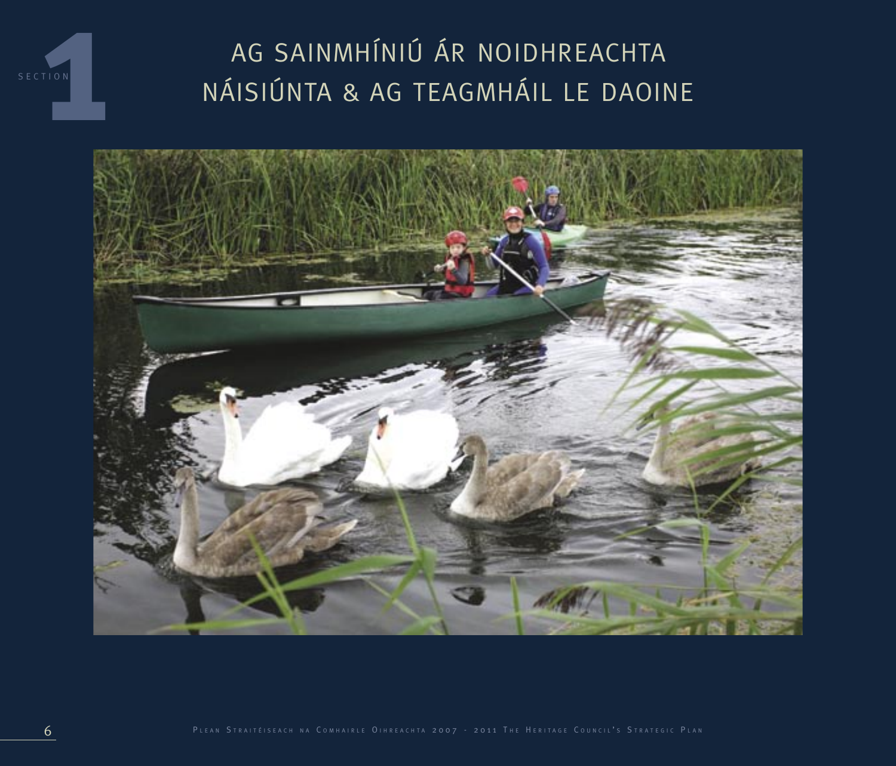

# AG SAINMHÍNIÚ ÁR NOIDHREACHTA NÁISIÚNTA & AG TEAGMHÁIL LE DAOINE

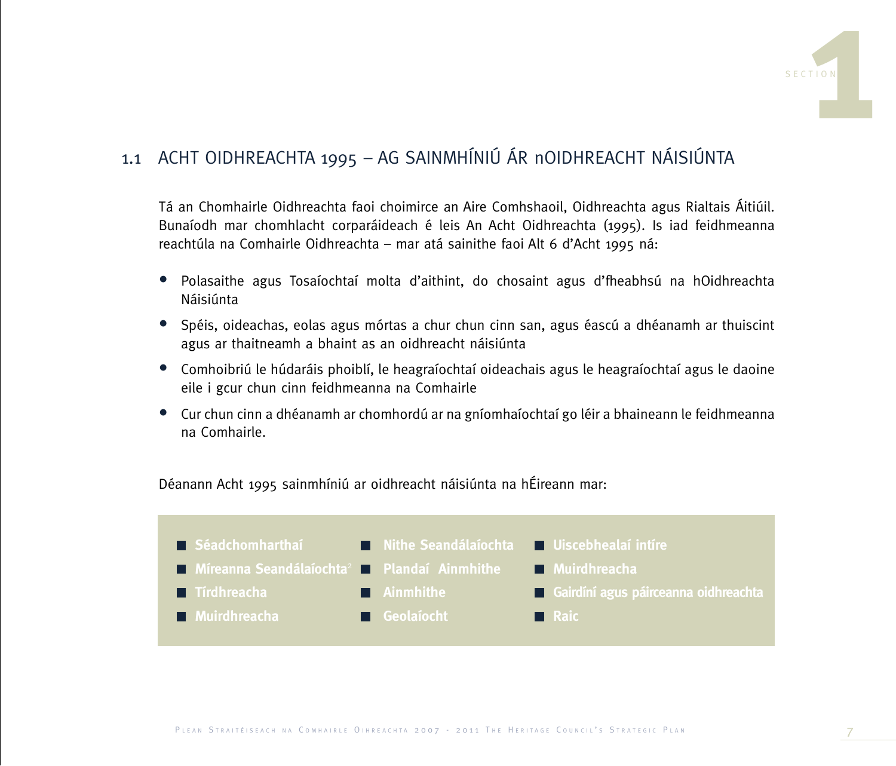

# 1.1 ACHT OIDHREACHTA 1995 – AG SAINMHÍNIÚ ÁR nOIDHREACHT NÁISIÚNTA

Tá an Chomhairle Oidhreachta faoi choimirce an Aire Comhshaoil, Oidhreachta agus Rialtais Áitiúil. Bunaíodh mar chomhlacht corparáideach é leis An Acht Oidhreachta (1995). Is iad feidhmeanna reachtúla na Comhairle Oidhreachta – mar atá sainithe faoi Alt 6 d'Acht 1995 ná:

- Polasaithe agus Tosaíochtaí molta d'aithint, do chosaint agus d'fheabhsú na hOidhreachta Náisiúnta
- Spéis, oideachas, eolas agus mórtas a chur chun cinn san, agus éascú a dhéanamh ar thuiscint agus ar thaitneamh a bhaint as an oidhreacht náisiúnta
- Comhoibriú le húdaráis phoiblí, le heagraíochtaí oideachais agus le heagraíochtaí agus le daoine eile i gcur chun cinn feidhmeanna na Comhairle
- Cur chun cinn a dhéanamh ar chomhordú ar na gníomhaíochtaí go léir a bhaineann le feidhmeanna na Comhairle.

Déanann Acht 1995 sainmhíniú ar oidhreacht náisiúnta na hÉireann mar:

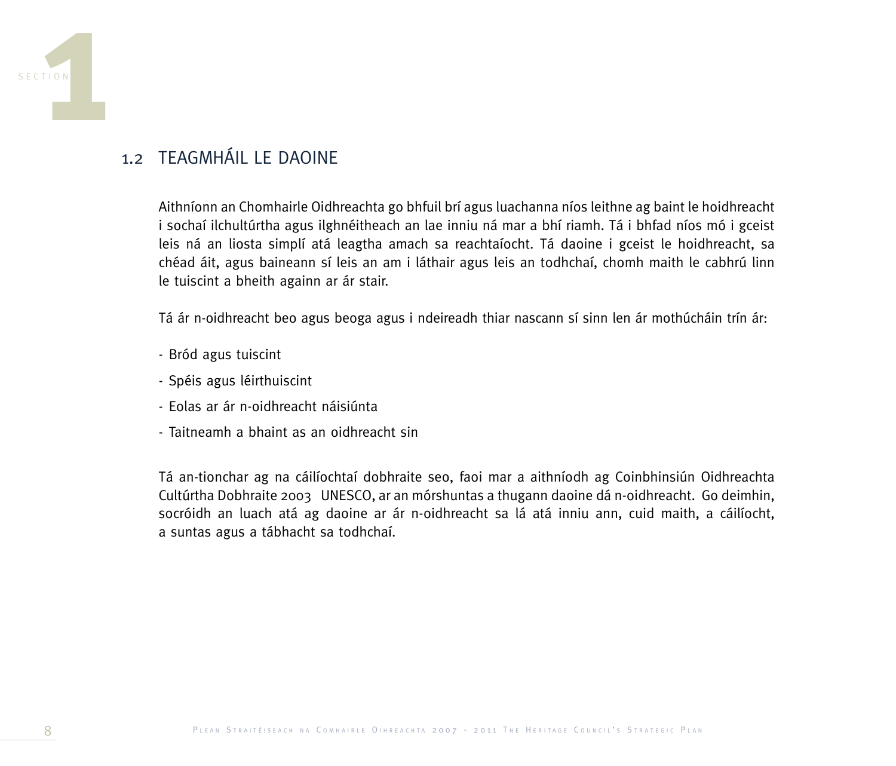

## 1.2 TEAGMHÁIL LE DAOINE

Aithníonn an Chomhairle Oidhreachta go bhfuil brí agus luachanna níos leithne ag baint le hoidhreacht i sochaí ilchultúrtha agus ilghnéitheach an lae inniu ná mar a bhí riamh. Tá i bhfad níos mó i gceist leis ná an liosta simplí atá leagtha amach sa reachtaíocht. Tá daoine i gceist le hoidhreacht, sa chéad áit, agus baineann sí leis an am i láthair agus leis an todhchaí, chomh maith le cabhrú linn le tuiscint a bheith againn ar ár stair.

Tá ár n-oidhreacht beo agus beoga agus i ndeireadh thiar nascann sí sinn len ár mothúcháin trín ár:

- Bród agus tuiscint
- Spéis agus léirthuiscint
- Eolas ar ár n-oidhreacht náisiúnta
- Taitneamh a bhaint as an oidhreacht sin

Tá an-tionchar ag na cáilíochtaí dobhraite seo, faoi mar a aithníodh ag Coinbhinsiún Oidhreachta Cultúrtha Dobhraite 2003 UNESCO, ar an mórshuntas a thugann daoine dá n-oidhreacht. Go deimhin, socróidh an luach atá ag daoine ar ár n-oidhreacht sa lá atá inniu ann, cuid maith, a cáilíocht, a suntas agus a tábhacht sa todhchaí.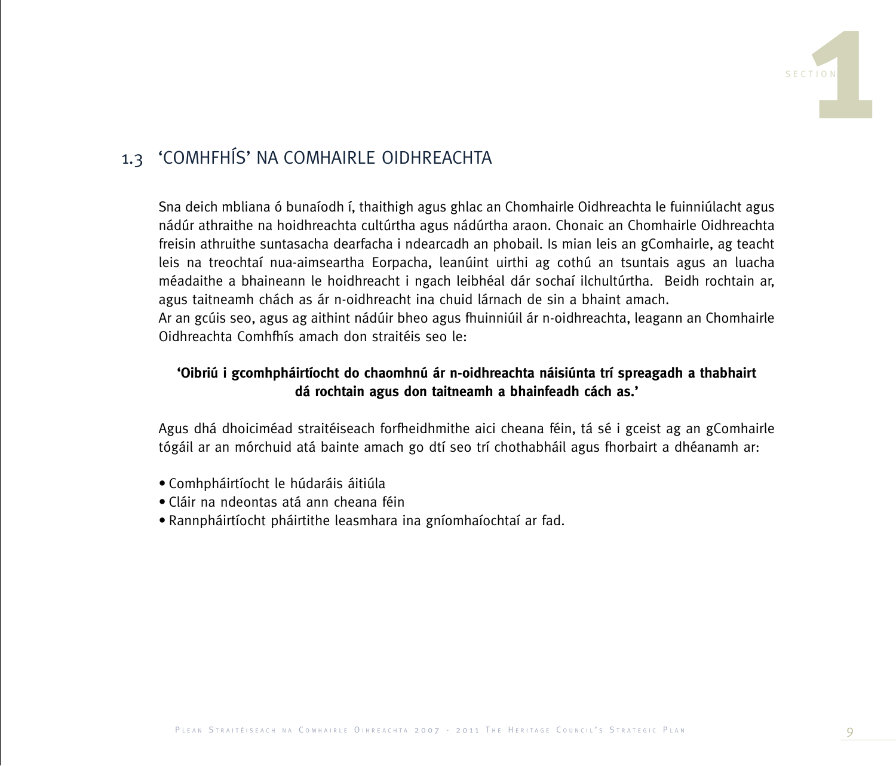

#### 1.3 'COMHFHÍS' NA COMHAIRLE OIDHREACHTA

Sna deich mbliana ó bunaíodh í, thaithigh agus ghlac an Chomhairle Oidhreachta le fuinniúlacht agus nádúr athraithe na hoidhreachta cultúrtha agus nádúrtha araon. Chonaic an Chomhairle Oidhreachta freisin athruithe suntasacha dearfacha i ndearcadh an phobail. Is mian leis an gComhairle, ag teacht leis na treochtaí nua-aimseartha Eorpacha, leanúint uirthi ag cothú an tsuntais agus an luacha méadaithe a bhaineann le hoidhreacht i ngach leibhéal dár sochaí ilchultúrtha. Beidh rochtain ar, agus taitneamh chách as ár n-oidhreacht ina chuid lárnach de sin a bhaint amach.

Ar an gcúis seo, agus ag aithint nádúir bheo agus fhuinniúil ár n-oidhreachta, leagann an Chomhairle Oidhreachta Comhfhís amach don straitéis seo le:

#### **'Oibriú i gcomhpháirtíocht do chaomhnú ár n-oidhreachta náisiúnta trí spreagadh a thabhairt dá rochtain agus don taitneamh a bhainfeadh cách as.'**

Agus dhá dhoiciméad straitéiseach forfheidhmithe aici cheana féin, tá sé i gceist ag an gComhairle tógáil ar an mórchuid atá bainte amach go dtí seo trí chothabháil agus fhorbairt a dhéanamh ar:

- Comhpháirtíocht le húdaráis áitiúla
- Cláir na ndeontas atá ann cheana féin
- Rannpháirtíocht pháirtithe leasmhara ina gníomhaíochtaí ar fad.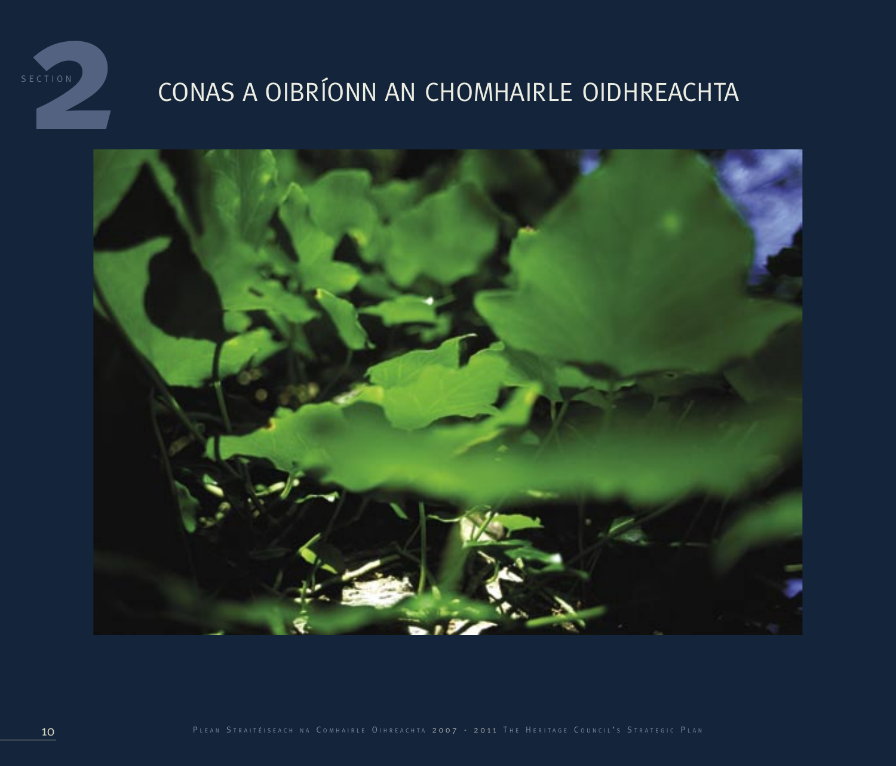

# CONAS A OIBRÍONN AN CHOMHAIRLE OIDHREACHTA

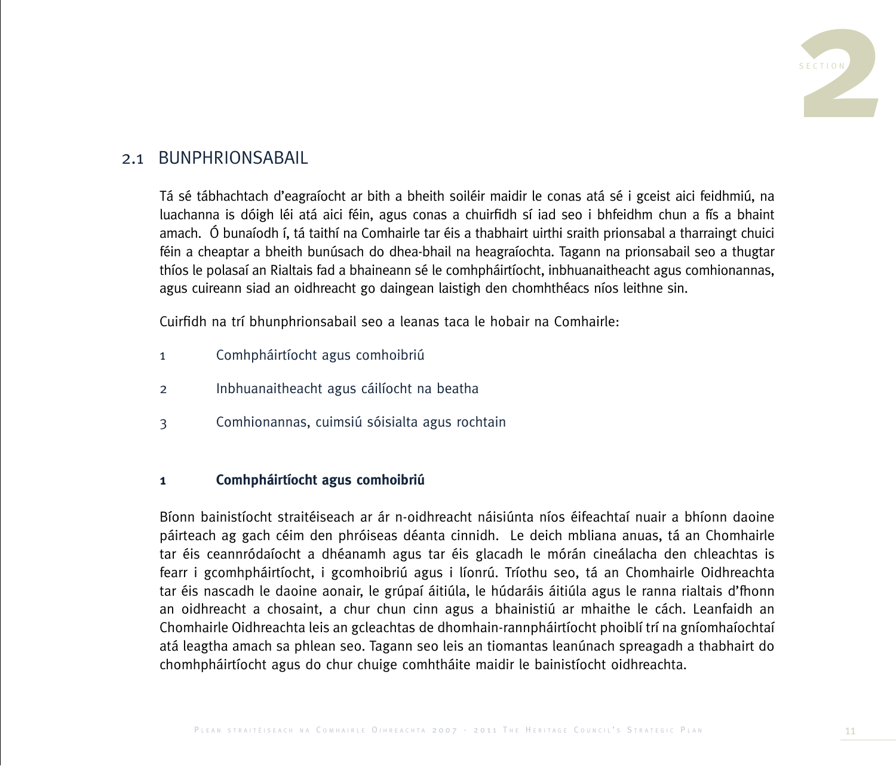

#### 2.1 BUNPHRIONSABAIL

 Tá sé tábhachtach d'eagraíocht ar bith a bheith soiléir maidir le conas atá sé i gceist aici feidhmiú, na luachanna is dóigh léi atá aici féin, agus conas a chuirfidh sí iad seo i bhfeidhm chun a fís a bhaint amach. Ó bunaíodh í, tá taithí na Comhairle tar éis a thabhairt uirthi sraith prionsabal a tharraingt chuici féin a cheaptar a bheith bunúsach do dhea-bhail na heagraíochta. Tagann na prionsabail seo a thugtar thíos le polasaí an Rialtais fad a bhaineann sé le comhpháirtíocht, inbhuanaitheacht agus comhionannas, agus cuireann siad an oidhreacht go daingean laistigh den chomhthéacs níos leithne sin.

Cuirfidh na trí bhunphrionsabail seo a leanas taca le hobair na Comhairle:

- 1 Comhpháirtíocht agus comhoibriú
- 2 Inbhuanaitheacht agus cáilíocht na beatha
- 3 Comhionannas, cuimsiú sóisialta agus rochtain

#### **1 Comhpháirtíocht agus comhoibriú**

 Bíonn bainistíocht straitéiseach ar ár n-oidhreacht náisiúnta níos éifeachtaí nuair a bhíonn daoine páirteach ag gach céim den phróiseas déanta cinnidh. Le deich mbliana anuas, tá an Chomhairle tar éis ceannródaíocht a dhéanamh agus tar éis glacadh le mórán cineálacha den chleachtas is fearr i gcomhpháirtíocht, i gcomhoibriú agus i líonrú. Tríothu seo, tá an Chomhairle Oidhreachta tar éis nascadh le daoine aonair, le grúpaí áitiúla, le húdaráis áitiúla agus le ranna rialtais d'fhonn an oidhreacht a chosaint, a chur chun cinn agus a bhainistiú ar mhaithe le cách. Leanfaidh an Chomhairle Oidhreachta leis an gcleachtas de dhomhain-rannpháirtíocht phoiblí trí na gníomhaíochtaí atá leagtha amach sa phlean seo. Tagann seo leis an tiomantas leanúnach spreagadh a thabhairt do chomhpháirtíocht agus do chur chuige comhtháite maidir le bainistíocht oidhreachta.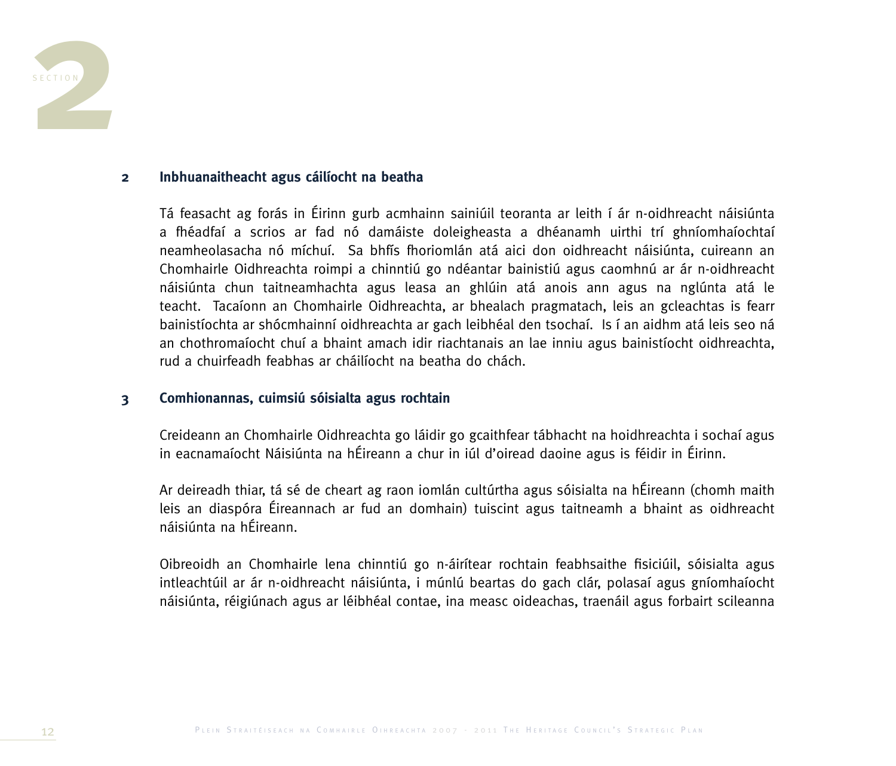

#### **2 Inbhuanaitheacht agus cáilíocht na beatha**

 Tá feasacht ag forás in Éirinn gurb acmhainn sainiúil teoranta ar leith í ár n-oidhreacht náisiúnta a fhéadfaí a scrios ar fad nó damáiste doleigheasta a dhéanamh uirthi trí ghníomhaíochtaí neamheolasacha nó míchuí. Sa bhfís fhoriomlán atá aici don oidhreacht náisiúnta, cuireann an Chomhairle Oidhreachta roimpi a chinntiú go ndéantar bainistiú agus caomhnú ar ár n-oidhreacht náisiúnta chun taitneamhachta agus leasa an ghlúin atá anois ann agus na nglúnta atá le teacht. Tacaíonn an Chomhairle Oidhreachta, ar bhealach pragmatach, leis an gcleachtas is fearr bainistíochta ar shócmhainní oidhreachta ar gach leibhéal den tsochaí. Is í an aidhm atá leis seo ná an chothromaíocht chuí a bhaint amach idir riachtanais an lae inniu agus bainistíocht oidhreachta, rud a chuirfeadh feabhas ar cháilíocht na beatha do chách.

#### **3 Comhionannas, cuimsiú sóisialta agus rochtain**

 Creideann an Chomhairle Oidhreachta go láidir go gcaithfear tábhacht na hoidhreachta i sochaí agus in eacnamaíocht Náisiúnta na hÉireann a chur in iúl d'oiread daoine agus is féidir in Éirinn.

 Ar deireadh thiar, tá sé de cheart ag raon iomlán cultúrtha agus sóisialta na hÉireann (chomh maith leis an diaspóra Éireannach ar fud an domhain) tuiscint agus taitneamh a bhaint as oidhreacht náisiúnta na hÉireann.

 Oibreoidh an Chomhairle lena chinntiú go n-áirítear rochtain feabhsaithe fisiciúil, sóisialta agus intleachtúil ar ár n-oidhreacht náisiúnta, i múnlú beartas do gach clár, polasaí agus gníomhaíocht náisiúnta, réigiúnach agus ar léibhéal contae, ina measc oideachas, traenáil agus forbairt scileanna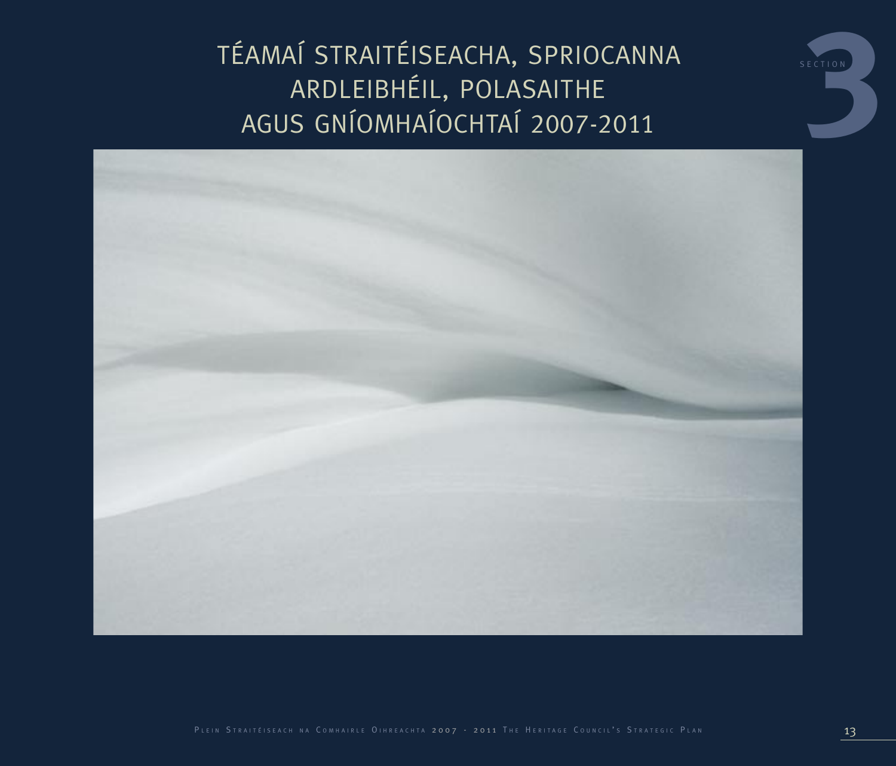# TÉAMAÍ STRAITÉISEACHA, SPRIOCANNA ARDLEIBHÉIL, POLASAITHE AGUS GNÍOMHAÍOCHTAÍ 2007-2011

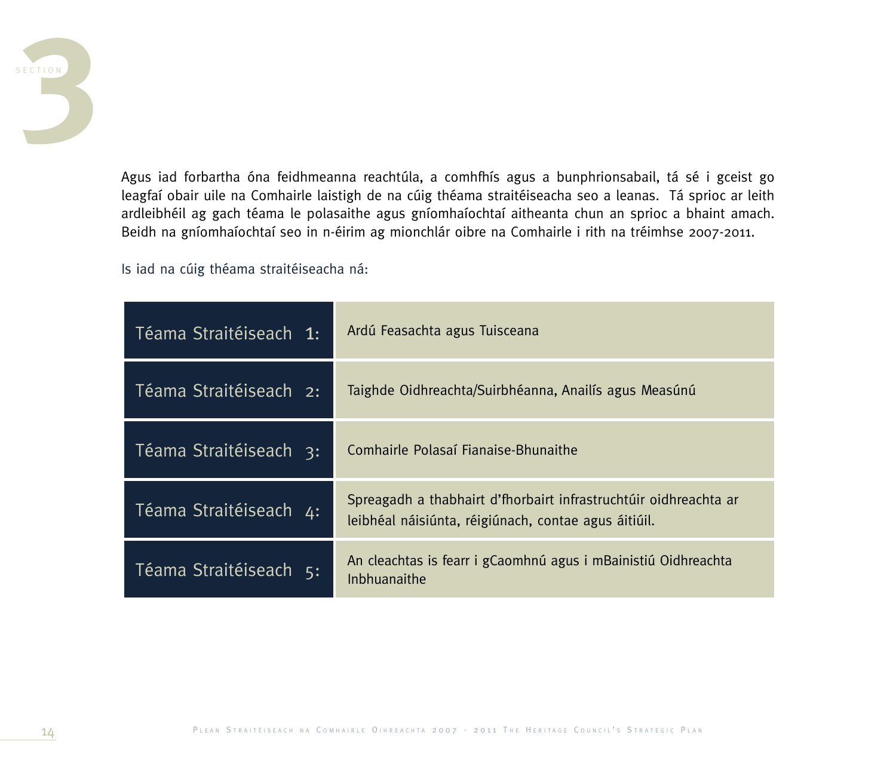

Agus iad forbartha óna feidhmeanna reachtúla, a comhfhís agus a bunphrionsabail, tá sé i gceist go leagfaí obair uile na Comhairle laistigh de na cúig théama straitéiseacha seo a leanas. Tá sprioc ar leith ardleibhéil ag gach téama le polasaithe agus gníomhaíochtaí aitheanta chun an sprioc a bhaint amach. Beidh na gníomhaíochtaí seo in n-éirim ag mionchlár oibre na Comhairle i rith na tréimhse 2007-2011.

Is iad na cúig théama straitéiseacha ná:

| Téama Straitéiseach 1: | Ardú Feasachta agus Tuisceana                                                                                            |
|------------------------|--------------------------------------------------------------------------------------------------------------------------|
| Téama Straitéiseach 2: | Taighde Oidhreachta/Suirbhéanna, Anailís agus Measúnú                                                                    |
| Téama Straitéiseach 3: | Comhairle Polasaí Fianaise-Bhunaithe                                                                                     |
| Téama Straitéiseach 4: | Spreagadh a thabhairt d'fhorbairt infrastruchtúir oidhreachta ar<br>leibhéal náisiúnta, réigiúnach, contae agus áitiúil. |
| Téama Straitéiseach 5: | An cleachtas is fearr i gCaomhnú agus i mBainistiú Oidhreachta<br>Inbhuanaithe                                           |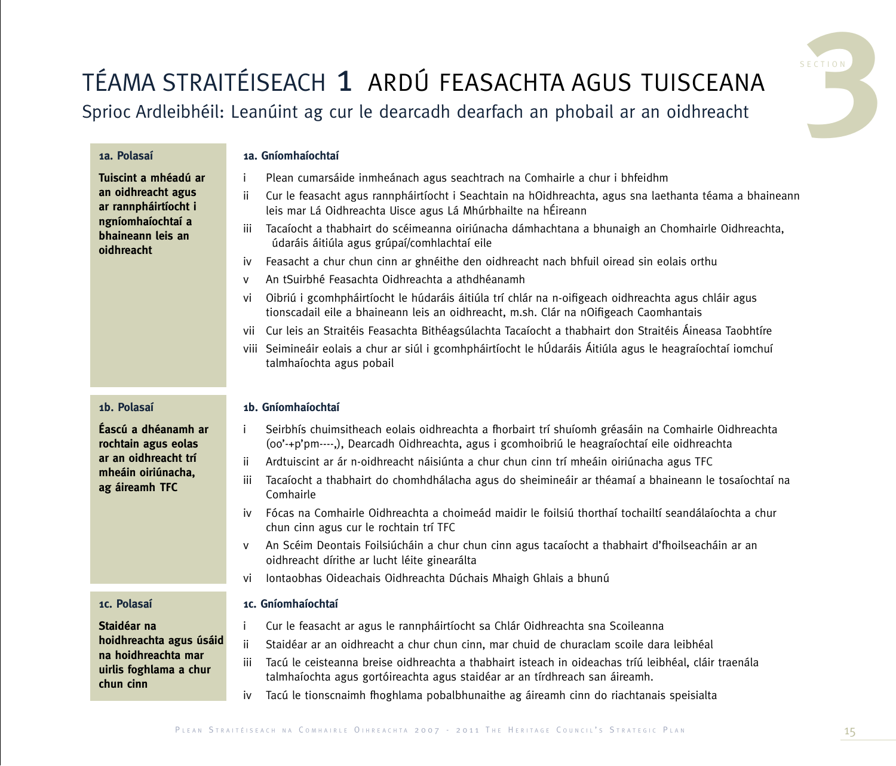# TÉAMA STRAITÉISEACH 1 ARDÚ FEASACHTA AGUS TUISCEANA

Sprioc Ardleibhéil: Leanúint ag cur le dearcadh dearfach an phobail ar an oidhreacht

#### **1a. Gníomhaíochtaí**

- i Plean cumarsáide inmheánach agus seachtrach na Comhairle a chur i bhfeidhm
- ii Cur le feasacht agus rannpháirtíocht i Seachtain na hOidhreachta, agus sna laethanta téama a bhaineann leis mar Lá Oidhreachta Uisce agus Lá Mhúrbhailte na hÉireann
- iii Tacaíocht a thabhairt do scéimeanna oiriúnacha dámhachtana a bhunaigh an Chomhairle Oidhreachta, údaráis áitiúla agus grúpaí/comhlachtaí eile
- iv Feasacht a chur chun cinn ar ghnéithe den oidhreacht nach bhfuil oiread sin eolais orthu
- v An tSuirbhé Feasachta Oidhreachta a athdhéanamh
- vi Oibriú i gcomhpháirtíocht le húdaráis áitiúla trí chlár na n-oifigeach oidhreachta agus chláir agus tionscadail eile a bhaineann leis an oidhreacht, m.sh. Clár na nOifigeach Caomhantais
- vii Cur leis an Straitéis Feasachta Bithéagsúlachta Tacaíocht a thabhairt don Straitéis Áineasa Taobhtíre
- viii Seimineáir eolais a chur ar siúl i gcomhpháirtíocht le hÚdaráis Áitiúla agus le heagraíochtaí iomchuí talmhaíochta agus pobail

#### **1b. Polasaí**

**1a. Polasaí**

**Tuiscint a mhéadú ar an oidhreacht agus ar rannpháirtíocht i ngníomhaíochtaí a bhaineann leis an oidhreacht** 

**Éascú a dhéanamh ar rochtain agus eolas ar an oidhreacht trí mheáin oiriúnacha, ag áireamh TFC**

#### **1c. Polasaí**

**Staidéar na hoidhreachta agus úsáid na hoidhreachta mar uirlis foghlama a chur chun cinn**

#### **1b. Gníomhaíochtaí**

- i Seirbhís chuimsitheach eolais oidhreachta a fhorbairt trí shuíomh gréasáin na Comhairle Oidhreachta (0o'-+p'pm----,), Dearcadh Oidhreachta, agus i gcomhoibriú le heagraíochtaí eile oidhreachta
- ii Ardtuiscint ar ár n-oidhreacht náisiúnta a chur chun cinn trí mheáin oiriúnacha agus TFC
- iii Tacaíocht a thabhairt do chomhdhálacha agus do sheimineáir ar théamaí a bhaineann le tosaíochtaí na Comhairle
- iv Fócas na Comhairle Oidhreachta a choimeád maidir le foilsiú thorthaí tochailtí seandálaíochta a chur chun cinn agus cur le rochtain trí TFC
- v An Scéim Deontais Foilsiúcháin a chur chun cinn agus tacaíocht a thabhairt d'fhoilseacháin ar an oidhreacht dírithe ar lucht léite ginearálta
- vi Iontaobhas Oideachais Oidhreachta Dúchais Mhaigh Ghlais a bhunú

#### **1c. Gníomhaíochtaí**

- i Cur le feasacht ar agus le rannpháirtíocht sa Chlár Oidhreachta sna Scoileanna
- ii Staidéar ar an oidhreacht a chur chun cinn, mar chuid de churaclam scoile dara leibhéal
- iii Tacú le ceisteanna breise oidhreachta a thabhairt isteach in oideachas tríú leibhéal, cláir traenála talmhaíochta agus gortóireachta agus staidéar ar an tírdhreach san áireamh.
- iv Tacú le tionscnaimh fhoghlama pobalbhunaithe ag áireamh cinn do riachtanais speisialta

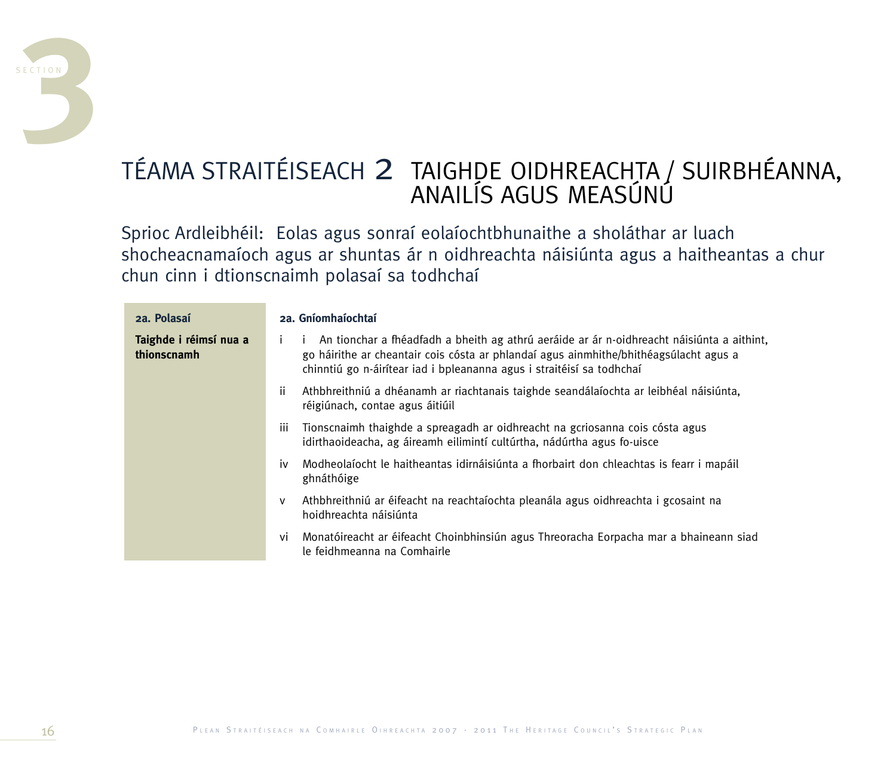

# TÉAMA STRAITÉISEACH 2 TAIGHDE OIDHREACHTA / SUIRBHÉANNA, ANAILÍS AGUS MEASÚNÚ

Sprioc Ardleibhéil: Eolas agus sonraí eolaíochtbhunaithe a sholáthar ar luach shocheacnamaíoch agus ar shuntas ár n oidhreachta náisiúnta agus a haitheantas a chur chun cinn i dtionscnaimh polasaí sa todhchaí

| 2a. Polasaí                           | 2a. Gníomhaíochtaí                                                                                                                                                                                                                                          |  |  |  |
|---------------------------------------|-------------------------------------------------------------------------------------------------------------------------------------------------------------------------------------------------------------------------------------------------------------|--|--|--|
| Taighde i réimsí nua a<br>thionscnamh | An tionchar a fhéadfadh a bheith ag athrú aeráide ar ár n-oidhreacht náisiúnta a aithint,<br>go háirithe ar cheantair cois cósta ar phlandaí agus ainmhithe/bhithéagsúlacht agus a<br>chinntiú go n-áirítear iad i bpleananna agus i straitéisí sa todhchaí |  |  |  |
|                                       | ii.<br>Athbhreithniú a dhéanamh ar riachtanais taighde seandálaíochta ar leibhéal náisiúnta,<br>réigiúnach, contae agus áitiúil                                                                                                                             |  |  |  |
|                                       | iii<br>Tionscnaimh thaighde a spreagadh ar oidhreacht na gcriosanna cois cósta agus<br>idirthaoideacha, ag áireamh eilimintí cultúrtha, nádúrtha agus fo-uisce                                                                                              |  |  |  |
|                                       | Modheolaíocht le haitheantas idirnáisiúnta a fhorbairt don chleachtas is fearr i mapáil<br>iv<br>ghnáthóige                                                                                                                                                 |  |  |  |
|                                       | Athbhreithniú ar éifeacht na reachtaíochta pleanála agus oidhreachta i gcosaint na<br>v<br>hoidhreachta náisiúnta                                                                                                                                           |  |  |  |
|                                       | Monatóireacht ar éifeacht Choinbhinsiún agus Threoracha Eorpacha mar a bhaineann siad<br>Vİ<br>le feidhmeanna na Comhairle                                                                                                                                  |  |  |  |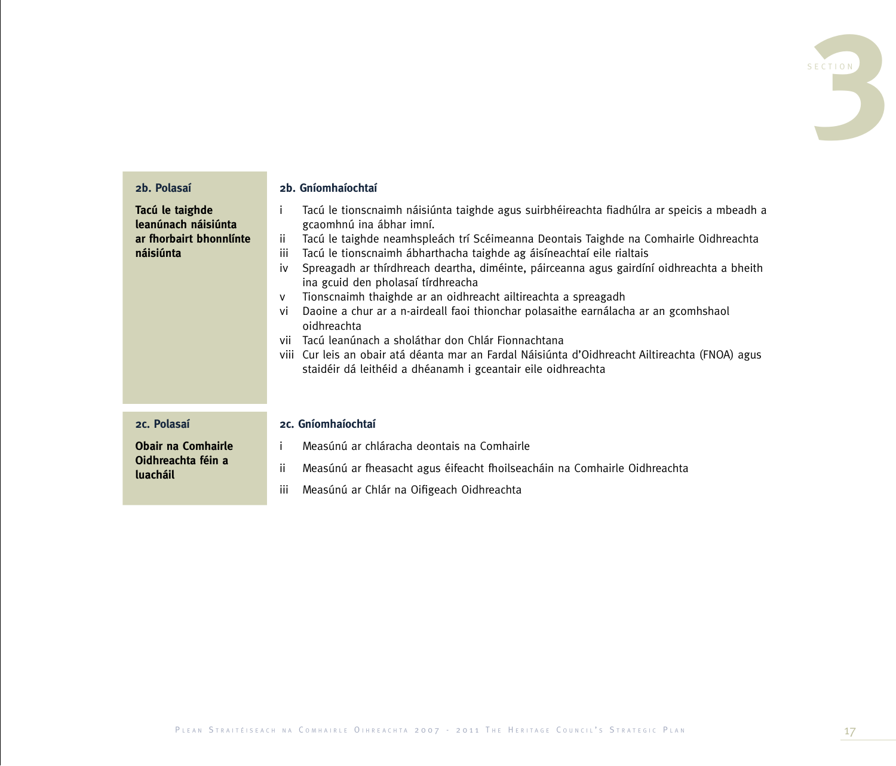

| 2b. Polasaí                                                                    | 2b. Gníomhaíochtaí                                                                                                                                                                                                                                                                                                                                                                                                                                                                                                                                                                                                                                                                                                                                                                                                                                                 |
|--------------------------------------------------------------------------------|--------------------------------------------------------------------------------------------------------------------------------------------------------------------------------------------------------------------------------------------------------------------------------------------------------------------------------------------------------------------------------------------------------------------------------------------------------------------------------------------------------------------------------------------------------------------------------------------------------------------------------------------------------------------------------------------------------------------------------------------------------------------------------------------------------------------------------------------------------------------|
| Tacú le taighde<br>leanúnach náisiúnta<br>ar fhorbairt bhonnlinte<br>náisiúnta | Tacú le tionscnaimh náisiúnta taighde agus suirbhéireachta fiadhúlra ar speicis a mbeadh a<br>gcaomhnú ina ábhar imní.<br>Tacú le taighde neamhspleách trí Scéimeanna Deontais Taighde na Comhairle Oidhreachta<br>ii.<br>Tacú le tionscnaimh ábharthacha taighde ag áisíneachtaí eile rialtais<br>iii.<br>Spreagadh ar thírdhreach deartha, diméinte, páirceanna agus gairdíní oidhreachta a bheith<br>iv<br>ina gcuid den pholasaí tírdhreacha<br>Tionscnaimh thaighde ar an oidhreacht ailtireachta a spreagadh<br>v<br>Daoine a chur ar a n-airdeall faoi thionchar polasaithe earnálacha ar an gcomhshaol<br>Vİ<br>oidhreachta<br>Tacú leanúnach a sholáthar don Chlár Fionnachtana<br>vii<br>viii Cur leis an obair atá déanta mar an Fardal Náisiúnta d'Oidhreacht Ailtireachta (FNOA) agus<br>staidéir dá leithéid a dhéanamh i gceantair eile oidhreachta |
| 2c. Polasaí                                                                    | 2c. Gníomhaíochtaí                                                                                                                                                                                                                                                                                                                                                                                                                                                                                                                                                                                                                                                                                                                                                                                                                                                 |
| <b>Obair na Comhairle</b>                                                      | Measúnú ar chláracha deontais na Comhairle                                                                                                                                                                                                                                                                                                                                                                                                                                                                                                                                                                                                                                                                                                                                                                                                                         |
| Oidhreachta féin a<br>luacháil                                                 | ii.<br>Measúnú ar fheasacht agus éifeacht fhoilseacháin na Comhairle Oidhreachta                                                                                                                                                                                                                                                                                                                                                                                                                                                                                                                                                                                                                                                                                                                                                                                   |
|                                                                                | iii<br>Measúnú ar Chlár na Oifigeach Oidhreachta                                                                                                                                                                                                                                                                                                                                                                                                                                                                                                                                                                                                                                                                                                                                                                                                                   |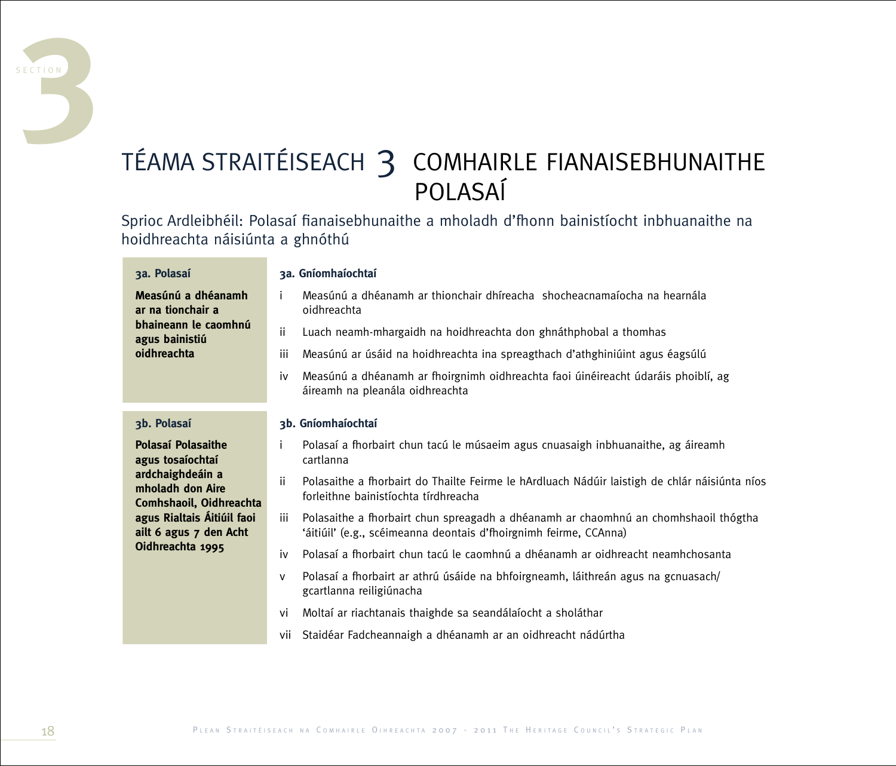

# TÉAMA STRAITÉISEACH 3 COMHAIRLE FIANAISEBHUNAITHE POLASAÍ

Sprioc Ardleibhéil: Polasaí fianaisebhunaithe a mholadh d'fhonn bainistíocht inbhuanaithe na hoidhreachta náisiúnta a ghnóthú

#### **3a. Polasaí**

#### **3a. Gníomhaíochtaí**

**Measúnú a dhéanamh ar na tionchair a bhaineann le caomhnú agus bainistiú oidhreachta**

- i Measúnú a dhéanamh ar thionchair dhíreacha shocheacnamaíocha na hearnála oidhreachta
- ii Luach neamh-mhargaidh na hoidhreachta don ghnáthphobal a thomhas
- iii Measúnú ar úsáid na hoidhreachta ina spreagthach d'athghiniúint agus éagsúlú
- iv Measúnú a dhéanamh ar fhoirgnimh oidhreachta faoi úinéireacht údaráis phoiblí, ag áireamh na pleanála oidhreachta

#### **3b. Polasaí**

#### **3b. Gníomhaíochtaí**

**Polasaí Polasaithe agus tosaíochtaí ardchaighdeáin a mholadh don Aire Comhshaoil, Oidhreachta agus Rialtais Áitiúil faoi ailt 6 agus 7 den Acht Oidhreachta 1995**

- i Polasaí a fhorbairt chun tacú le músaeim agus cnuasaigh inbhuanaithe, ag áireamh cartlanna
- ii Polasaithe a fhorbairt do Thailte Feirme le hArdluach Nádúir laistigh de chlár náisiúnta níos forleithne bainistíochta tírdhreacha
- iii Polasaithe a fhorbairt chun spreagadh a dhéanamh ar chaomhnú an chomhshaoil thógtha 'áitiúil' (e.g., scéimeanna deontais d'fhoirgnimh feirme, CCAnna)
- iv Polasaí a fhorbairt chun tacú le caomhnú a dhéanamh ar oidhreacht neamhchosanta
- v Polasaí a fhorbairt ar athrú úsáide na bhfoirgneamh, láithreán agus na gcnuasach/ gcartlanna reiligiúnacha
- vi Moltaí ar riachtanais thaighde sa seandálaíocht a sholáthar
- vii Staidéar Fadcheannaigh a dhéanamh ar an oidhreacht nádúrtha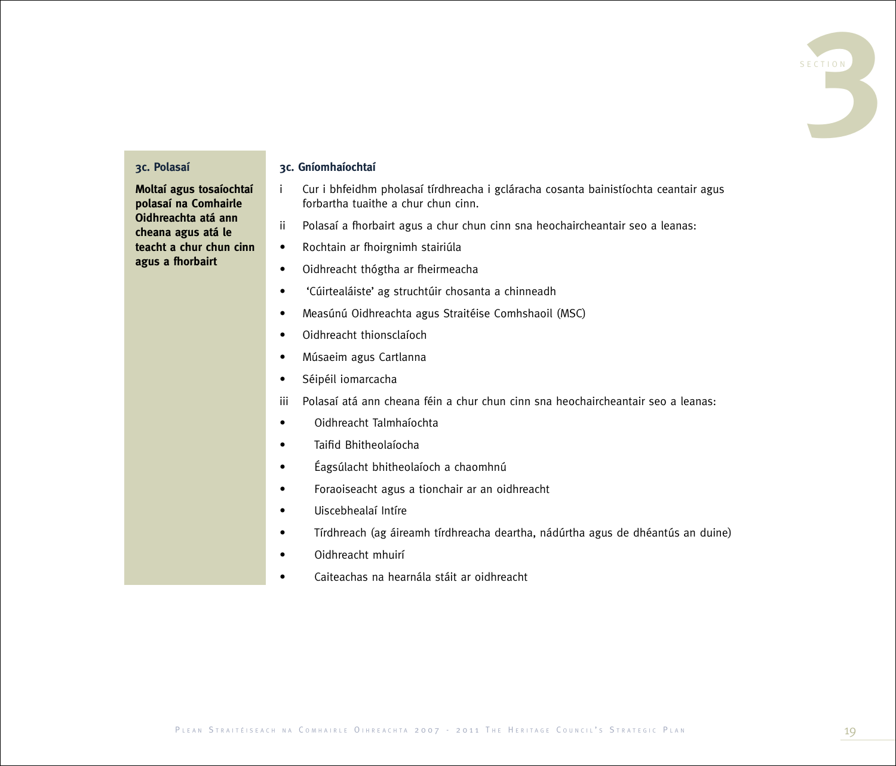

#### **3c. Polasaí**

**Moltaí agus tosaíochtaí polasaí na Comhairle Oidhreachta atá ann cheana agus atá le teacht a chur chun cinn agus a fhorbairt** 

#### **3c. Gníomhaíochtaí**

- i Cur i bhfeidhm pholasaí tírdhreacha i gcláracha cosanta bainistíochta ceantair agus forbartha tuaithe a chur chun cinn.
- ii Polasaí a fhorbairt agus a chur chun cinn sna heochaircheantair seo a leanas:
- Rochtain ar fhoirgnimh stairiúla
- Oidhreacht thógtha ar fheirmeacha
- 'Cúirtealáiste' ag struchtúir chosanta a chinneadh
- Measúnú Oidhreachta agus Straitéise Comhshaoil (MSC)
- Oidhreacht thionsclaíoch
- Músaeim agus Cartlanna
- Séipéil iomarcacha
- iii Polasaí atá ann cheana féin a chur chun cinn sna heochaircheantair seo a leanas:
- Oidhreacht Talmhaíochta
- Taifid Bhitheolaíocha
- Éagsúlacht bhitheolaíoch a chaomhnú
- Foraoiseacht agus a tionchair ar an oidhreacht
- Uiscebhealaí Intíre
- Tírdhreach (ag áireamh tírdhreacha deartha, nádúrtha agus de dhéantús an duine)
- Oidhreacht mhuirí
- Caiteachas na hearnála stáit ar oidhreacht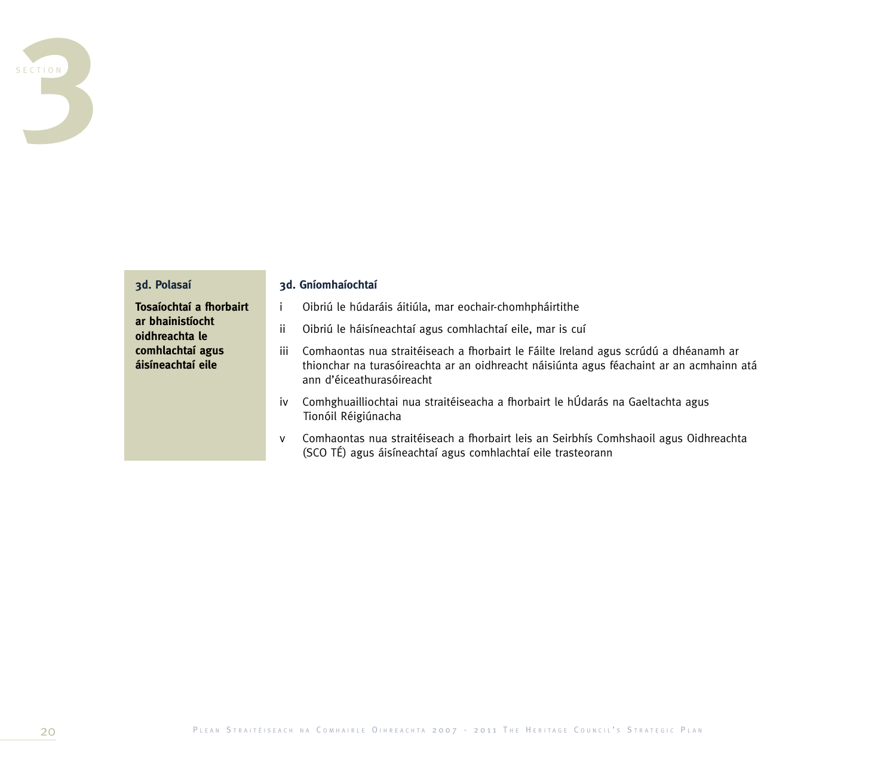# **3**<br>3<br> **3**<br> **3**<br> **3**<br> **3**

#### **3d. Polasaí**

#### **3d. Gníomhaíochtaí**

**Tosaíochtaí a fhorbairt ar bhainistíocht oidhreachta le comhlachtaí agus áisíneachtaí eile**

- i Oibriú le húdaráis áitiúla, mar eochair-chomhpháirtithe
- ii Oibriú le háisíneachtaí agus comhlachtaí eile, mar is cuí
- iii Comhaontas nua straitéiseach a fhorbairt le Fáilte Ireland agus scrúdú a dhéanamh ar thionchar na turasóireachta ar an oidhreacht náisiúnta agus féachaint ar an acmhainn atá ann d'éiceathurasóireacht
- iv Comhghuailliochtai nua straitéiseacha a fhorbairt le hÚdarás na Gaeltachta agus Tionóil Réigiúnacha
- v Comhaontas nua straitéiseach a fhorbairt leis an Seirbhís Comhshaoil agus Oidhreachta (SCO TÉ) agus áisíneachtaí agus comhlachtaí eile trasteorann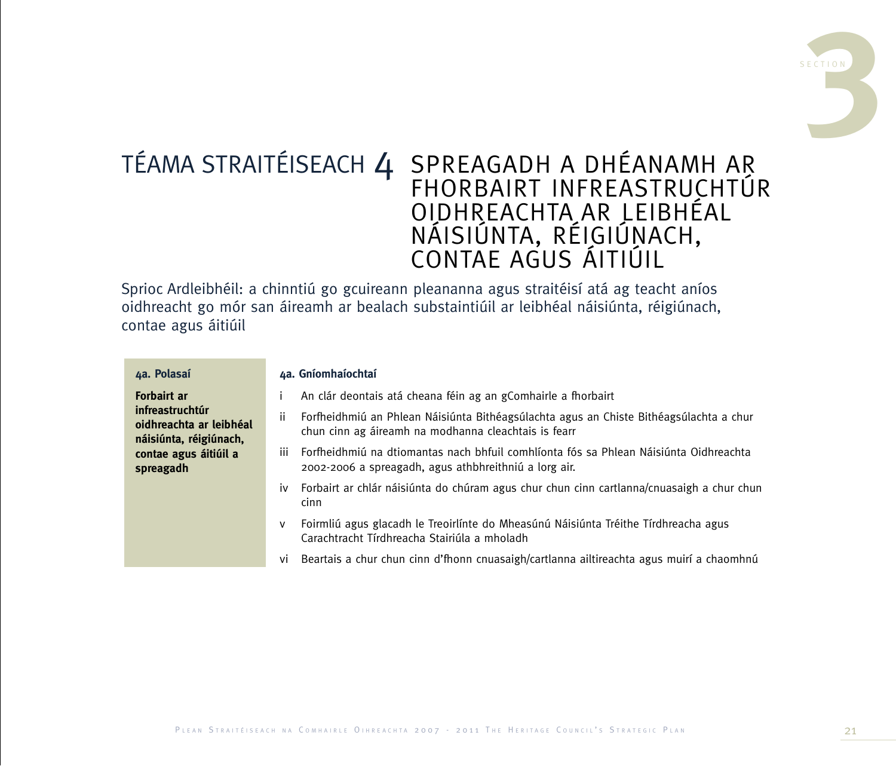

# TÉAMA STRAITÉISEACH 4 SPREAGADH A DHÉANAMH AR FHORBAIRT INFREASTRUCHTÚR OIDHREACHTA AR LEIBHÉAL NÁISIÚNTA, RÉIGIÚNACH, CONTAE AGUS ÁITIÚIL

Sprioc Ardleibhéil: a chinntiú go gcuireann pleananna agus straitéisí atá ag teacht aníos oidhreacht go mór san áireamh ar bealach substaintiúil ar leibhéal náisiúnta, réigiúnach, contae agus áitiúil

| 4a. Polasaí                                                          | 4a. Gníomhaíochtaí                                                                                                                                    |  |  |
|----------------------------------------------------------------------|-------------------------------------------------------------------------------------------------------------------------------------------------------|--|--|
| <b>Forbairt ar</b>                                                   | An clár deontais atá cheana féin ag an gComhairle a fhorbairt                                                                                         |  |  |
| infreastruchtúr<br>oidhreachta ar leibhéal<br>náisiúnta, réigiúnach, | Forfheidhmiú an Phlean Náisiúnta Bithéagsúlachta agus an Chiste Bithéagsúlachta a chur<br>chun cinn ag áireamh na modhanna cleachtais is fearr        |  |  |
| contae agus áitiúil a<br>spreagadh                                   | Forfheidhmiú na dtiomantas nach bhfuil comhlíonta fós sa Phlean Náisiúnta Oidhreachta<br>iii<br>2002-2006 a spreagadh, agus athbhreithniú a lorg air. |  |  |
|                                                                      | Forbairt ar chlár náisiúnta do chúram agus chur chun cinn cartlanna/cnuasaigh a chur chun<br><b>İV</b><br>cinn                                        |  |  |
|                                                                      | Foirmliú agus glacadh le Treoirlínte do Mheasúnú Náisiúnta Tréithe Tírdhreacha agus<br>Carachtracht Tírdhreacha Stairiúla a mholadh                   |  |  |
|                                                                      | vi Beartais a chur chun cinn d'fhonn cnuasaigh/cartlanna ailtireachta agus muirí a chaomhnú                                                           |  |  |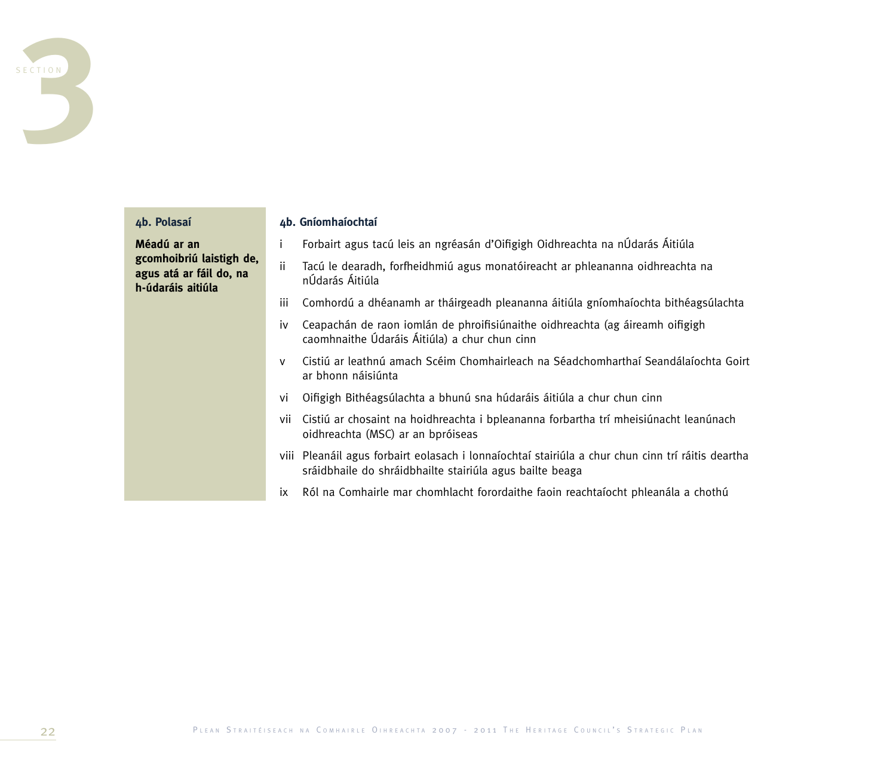

#### **4b. Polasaí Méadú ar an gcomhoibriú laistigh de, agus atá ar fáil do, na**

**h-údaráis aitiúla**

#### **4b. Gníomhaíochtaí**

- i Forbairt agus tacú leis an ngréasán d'Oifigigh Oidhreachta na nÚdarás Áitiúla
- ii Tacú le dearadh, forfheidhmiú agus monatóireacht ar phleananna oidhreachta na nÚdarás Áitiúla
- iii Comhordú a dhéanamh ar tháirgeadh pleananna áitiúla gníomhaíochta bithéagsúlachta
- iv Ceapachán de raon iomlán de phroifisiúnaithe oidhreachta (ag áireamh oifigigh caomhnaithe Údaráis Áitiúla) a chur chun cinn
- v Cistiú ar leathnú amach Scéim Chomhairleach na Séadchomharthaí Seandálaíochta Goirt ar bhonn náisiúnta
- vi Oifigigh Bithéagsúlachta a bhunú sna húdaráis áitiúla a chur chun cinn
- vii Cistiú ar chosaint na hoidhreachta i bpleananna forbartha trí mheisiúnacht leanúnach oidhreachta (MSC) ar an bpróiseas
- viii Pleanáil agus forbairt eolasach i lonnaíochtaí stairiúla a chur chun cinn trí ráitis deartha sráidbhaile do shráidbhailte stairiúla agus bailte beaga
- ix Ról na Comhairle mar chomhlacht forordaithe faoin reachtaíocht phleanála a chothú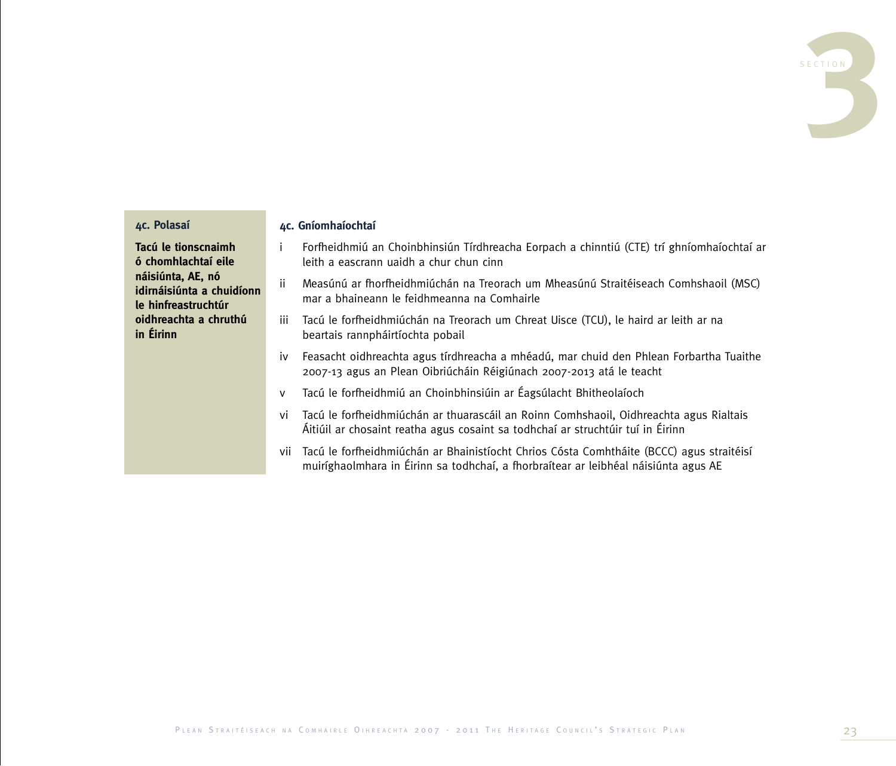# **3** S E C T I O N

#### **4c. Polasaí**

**Tacú le tionscnaimh ó chomhlachtaí eile náisiúnta, AE, nó idirnáisiúnta a chuidíonn le hinfreastruchtúr oidhreachta a chruthú in Éirinn** 

#### **4c. Gníomhaíochtaí**

- i Forfheidhmiú an Choinbhinsiún Tírdhreacha Eorpach a chinntiú (CTE) trí ghníomhaíochtaí ar leith a eascrann uaidh a chur chun cinn
- ii Measúnú ar fhorfheidhmiúchán na Treorach um Mheasúnú Straitéiseach Comhshaoil (MSC) mar a bhaineann le feidhmeanna na Comhairle
- iii Tacú le forfheidhmiúchán na Treorach um Chreat Uisce (TCU), le haird ar leith ar na beartais rannpháirtíochta pobail
- iv Feasacht oidhreachta agus tírdhreacha a mhéadú, mar chuid den Phlean Forbartha Tuaithe 2007-13 agus an Plean Oibriúcháin Réigiúnach 2007-2013 atá le teacht
- v Tacú le forfheidhmiú an Choinbhinsiúin ar Éagsúlacht Bhitheolaíoch
- vi Tacú le forfheidhmiúchán ar thuarascáil an Roinn Comhshaoil, Oidhreachta agus Rialtais Áitiúil ar chosaint reatha agus cosaint sa todhchaí ar struchtúir tuí in Éirinn
- vii Tacú le forfheidhmiúchán ar Bhainistíocht Chrios Cósta Comhtháite (BCCC) agus straitéisí muiríghaolmhara in Éirinn sa todhchaí, a fhorbraítear ar leibhéal náisiúnta agus AE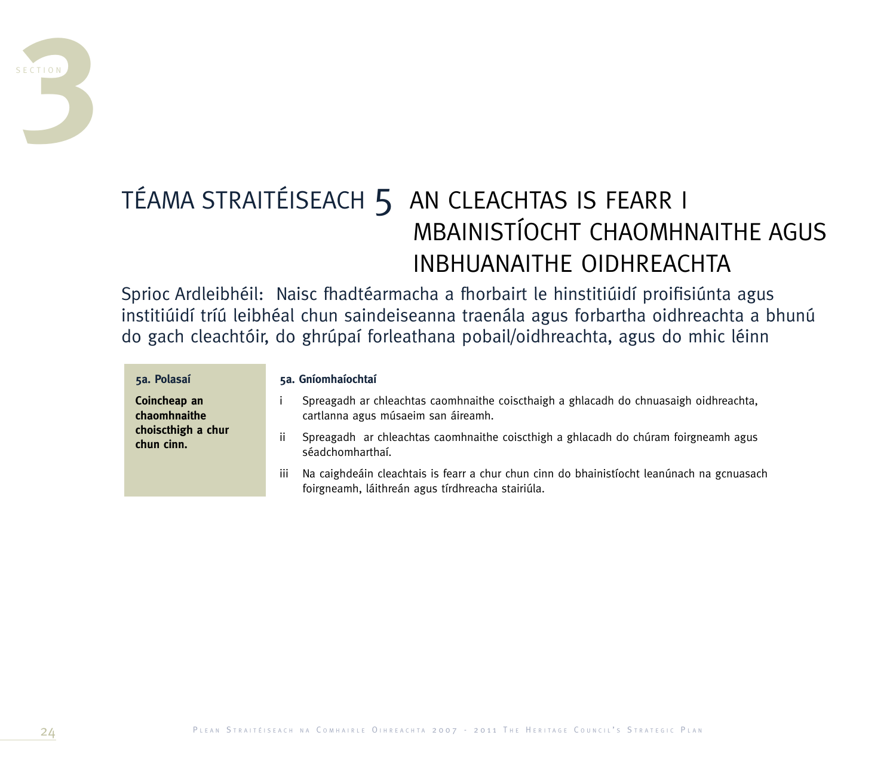

# TÉAMA STRAITÉISEACH 5 AN CLEACHTAS IS FEARR I MBAINISTÍOCHT CHAOMHNAITHE AGUS INBHUANAITHE OIDHREACHTA

Sprioc Ardleibhéil: Naisc fhadtéarmacha a fhorbairt le hinstitiúidí proifisiúnta agus institiúidí tríú leibhéal chun saindeiseanna traenála agus forbartha oidhreachta a bhunú do gach cleachtóir, do ghrúpaí forleathana pobail/oidhreachta, agus do mhic léinn

#### **5a. Polasaí**

#### **5a. Gníomhaíochtaí**

**Coincheap an chaomhnaithe choiscthigh a chur chun cinn.**

- i Spreagadh ar chleachtas caomhnaithe coiscthaigh a ghlacadh do chnuasaigh oidhreachta, cartlanna agus músaeim san áireamh.
- ii Spreagadh ar chleachtas caomhnaithe coiscthigh a ghlacadh do chúram foirgneamh agus séadchomharthaí.
- iii Na caighdeáin cleachtais is fearr a chur chun cinn do bhainistíocht leanúnach na gcnuasach foirgneamh, láithreán agus tírdhreacha stairiúla.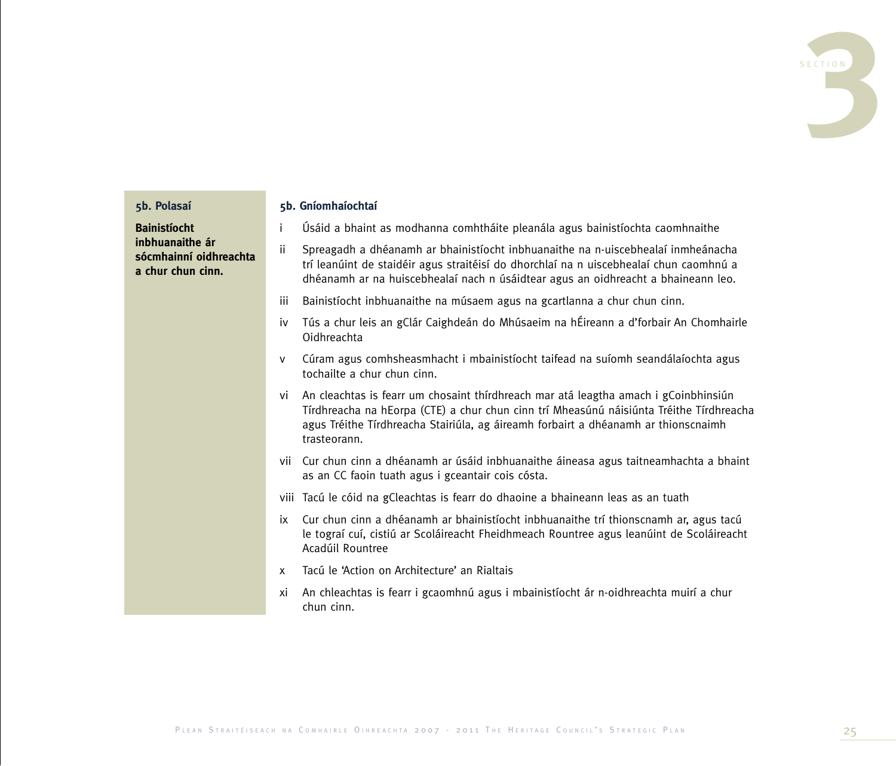#### **5b. Gníomhaíochtaí**

- i Úsáid a bhaint as modhanna comhtháite pleanála agus bainistíochta caomhnaithe
- ii Spreagadh a dhéanamh ar bhainistíocht inbhuanaithe na n-uiscebhealaí inmheánacha trí leanúint de staidéir agus straitéisí do dhorchlaí na n uiscebhealaí chun caomhnú a dhéanamh ar na huiscebhealaí nach n úsáidtear agus an oidhreacht a bhaineann leo.
- iii Bainistíocht inbhuanaithe na músaem agus na gcartlanna a chur chun cinn.
- iv Tús a chur leis an gClár Caighdeán do Mhúsaeim na hÉireann a d'forbair An Chomhairle Oidhreachta
- v Cúram agus comhsheasmhacht i mbainistíocht taifead na suíomh seandálaíochta agus tochailte a chur chun cinn.
- vi An cleachtas is fearr um chosaint thírdhreach mar atá leagtha amach i gCoinbhinsiún Tírdhreacha na hEorpa (CTE) a chur chun cinn trí Mheasúnú náisiúnta Tréithe Tírdhreacha agus Tréithe Tírdhreacha Stairiúla, ag áireamh forbairt a dhéanamh ar thionscnaimh trasteorann.
- vii Cur chun cinn a dhéanamh ar úsáid inbhuanaithe áineasa agus taitneamhachta a bhaint as an CC faoin tuath agus i gceantair cois cósta.
- viii Tacú le cóid na gCleachtas is fearr do dhaoine a bhaineann leas as an tuath
- ix Cur chun cinn a dhéanamh ar bhainistíocht inbhuanaithe trí thionscnamh ar, agus tacú le tograí cuí, cistiú ar Scoláireacht Fheidhmeach Rountree agus leanúint de Scoláireacht Acadúil Rountree
- x Tacú le 'Action on Architecture' an Rialtais
- xi An chleachtas is fearr i gcaomhnú agus i mbainistíocht ár n-oidhreachta muirí a chur chun cinn.

**Bainistíocht inbhuanaithe ár sócmhainní oidhreachta a chur chun cinn.**

**5b. Polasaí**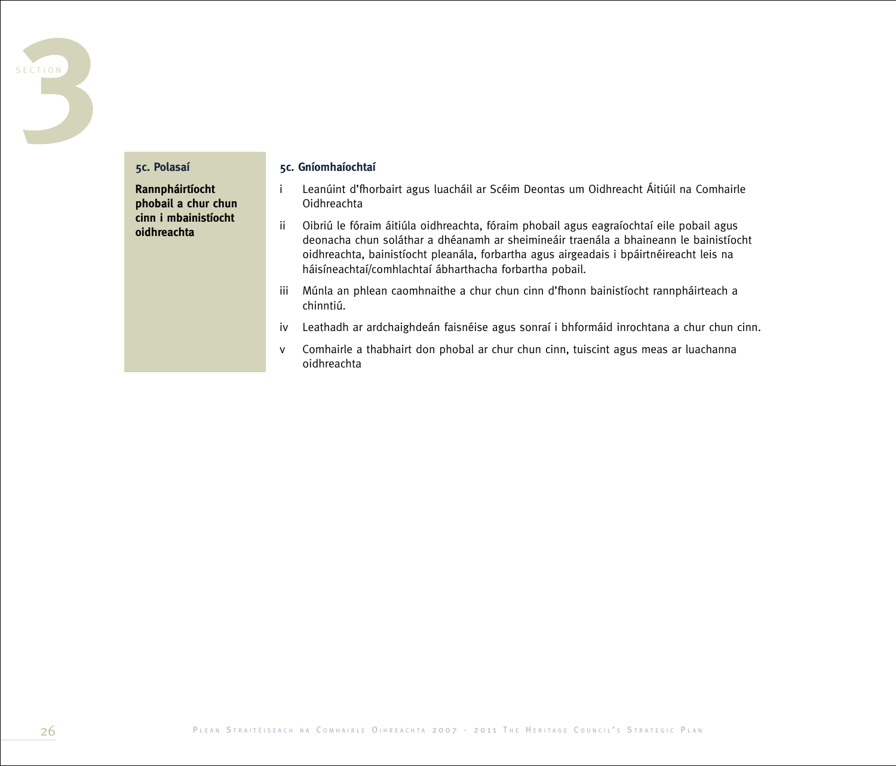#### **5c. Polasaí**

**3**<br>3<br> **3**<br> **3**<br> **3**<br> **3**<br> **3** 

**Rannpháirtíocht phobail a chur chun cinn i mbainistíocht oidhreachta**

#### **5c. Gníomhaíochtaí**

- i Leanúint d'fhorbairt agus luacháil ar Scéim Deontas um Oidhreacht Áitiúil na Comhairle Oidhreachta
- ii Oibriú le fóraim áitiúla oidhreachta, fóraim phobail agus eagraíochtaí eile pobail agus deonacha chun soláthar a dhéanamh ar sheimineáir traenála a bhaineann le bainistíocht oidhreachta, bainistíocht pleanála, forbartha agus airgeadais i bpáirtnéireacht leis na háisíneachtaí/comhlachtaí ábharthacha forbartha pobail.
- iii Múnla an phlean caomhnaithe a chur chun cinn d'fhonn bainistíocht rannpháirteach a chinntiú.
- iv Leathadh ar ardchaighdeán faisnéise agus sonraí i bhformáid inrochtana a chur chun cinn.
- v Comhairle a thabhairt don phobal ar chur chun cinn, tuiscint agus meas ar luachanna oidhreachta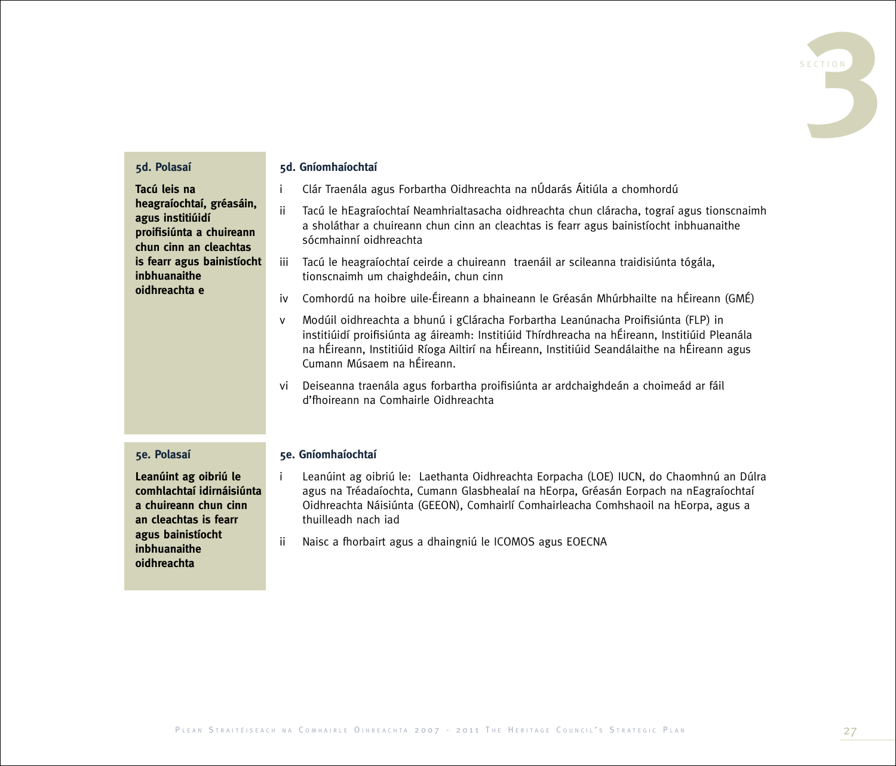

#### **5d. Polasaí**

#### **5d. Gníomhaíochtaí**

**Tacú leis na heagraíochtaí, gréasáin, agus institiúidí proifisiúnta a chuireann chun cinn an cleachtas is fearr agus bainistíocht inbhuanaithe oidhreachta e** 

- i Clár Traenála agus Forbartha Oidhreachta na nÚdarás Áitiúla a chomhordú
- ii Tacú le hEagraíochtaí Neamhrialtasacha oidhreachta chun cláracha, tograí agus tionscnaimh a sholáthar a chuireann chun cinn an cleachtas is fearr agus bainistíocht inbhuanaithe sócmhainní oidhreachta
- iii Tacú le heagraíochtaí ceirde a chuireann traenáil ar scileanna traidisiúnta tógála, tionscnaimh um chaighdeáin, chun cinn
- iv Comhordú na hoibre uile-Éireann a bhaineann le Gréasán Mhúrbhailte na hÉireann (GMÉ)
- v Modúil oidhreachta a bhunú i gCláracha Forbartha Leanúnacha Proifisiúnta (FLP) in institiúidí proifisiúnta ag áireamh: Institiúid Thírdhreacha na hÉireann, Institiúid Pleanála na hÉireann, Institiúid Ríoga Ailtirí na hÉireann, Institiúid Seandálaithe na hÉireann agus Cumann Músaem na hÉireann.
- vi Deiseanna traenála agus forbartha proifisiúnta ar ardchaighdeán a choimeád ar fáil d'fhoireann na Comhairle Oidhreachta

#### **5e. Polasaí**

**Leanúint ag oibriú le comhlachtaí idirnáisiúnta a chuireann chun cinn an cleachtas is fearr agus bainistíocht inbhuanaithe oidhreachta** 

#### **5e. Gníomhaíochtaí**

- i Leanúint ag oibriú le: Laethanta Oidhreachta Eorpacha (LOE) IUCN, do Chaomhnú an Dúlra agus na Tréadaíochta, Cumann Glasbhealaí na hEorpa, Gréasán Eorpach na nEagraíochtaí Oidhreachta Náisiúnta (GEEON), Comhairlí Comhairleacha Comhshaoil na hEorpa, agus a thuilleadh nach iad
- ii Naisc a fhorbairt agus a dhaingniú le ICOMOS agus EOECNA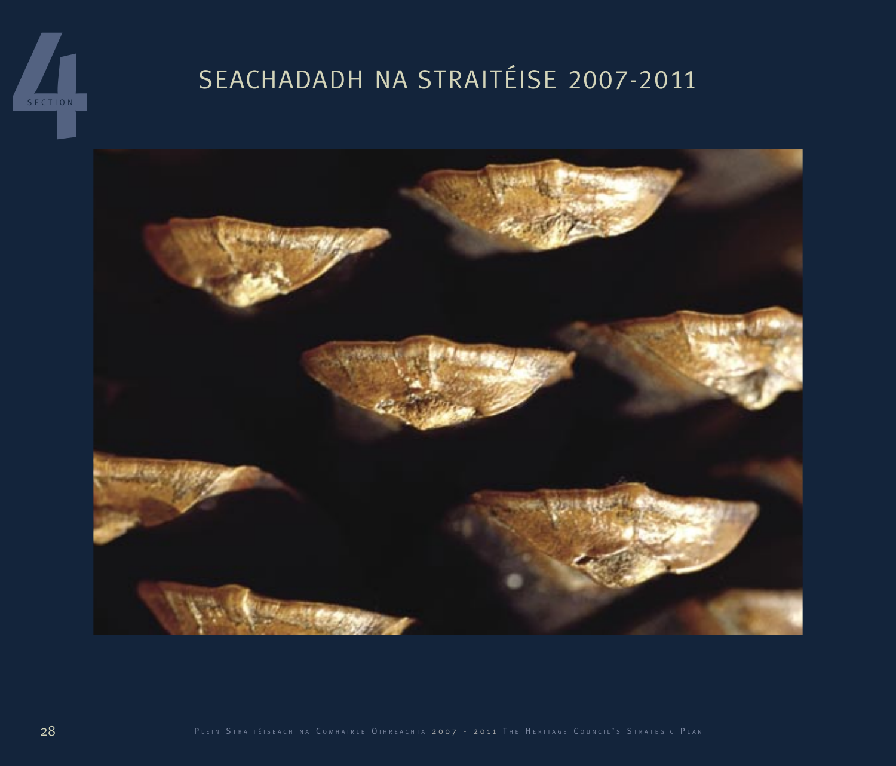

# SEACHADADH NA STRAITÉISE 2007-2011

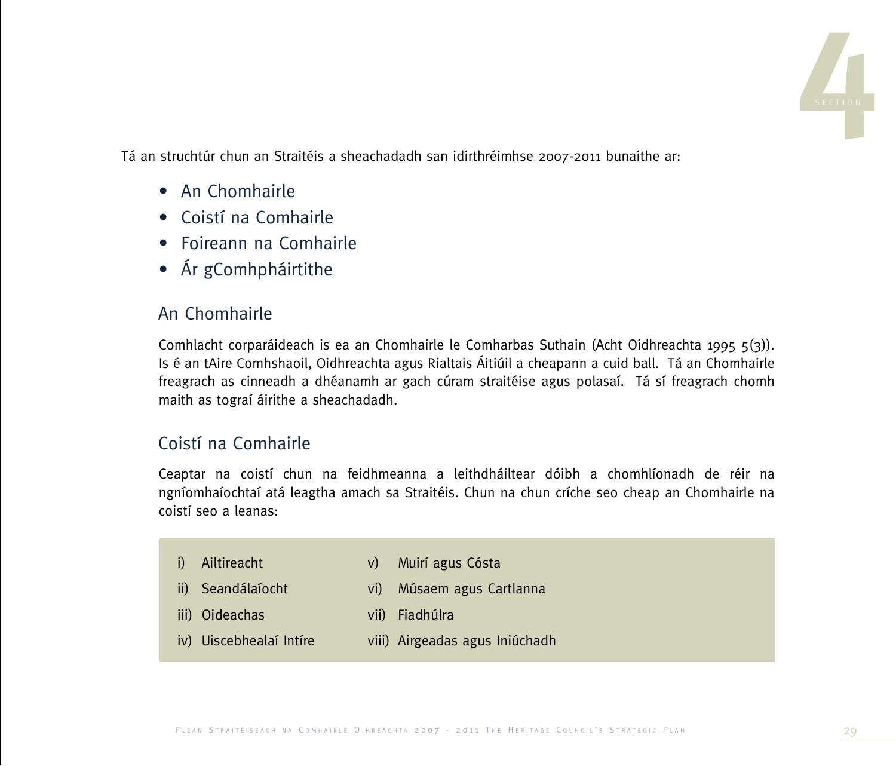

Tá an struchtúr chun an Straitéis a sheachadadh san idirthréimhse 2007-2011 bunaithe ar:

- An Chomhairle
- Coistí na Comhairle
- Foireann na Comhairle
- Ár gComhpháirtithe

#### An Chomhairle

Comhlacht corparáideach is ea an Chomhairle le Comharbas Suthain (Acht Oidhreachta 1995 5(3)). Is é an tAire Comhshaoil, Oidhreachta agus Rialtais Áitiúil a cheapann a cuid ball. Tá an Chomhairle freagrach as cinneadh a dhéanamh ar gach cúram straitéise agus polasaí. Tá sí freagrach chomh maith as tograí áirithe a sheachadadh.

#### Coistí na Comhairle

Ceaptar na coistí chun na feidhmeanna a leithdháiltear dóibh a chomhlíonadh de réir na ngníomhaíochtaí atá leagtha amach sa Straitéis. Chun na chun críche seo cheap an Chomhairle na coistí seo a leanas:

- 
- i) Ailtireacht v) Muirí agus Cósta
- ii) Seandálaíocht vi) Músaem agus Cartlanna
- 
- 
- 
- iii) Oideachas vii) Fiadhúlra
	-
- 
- iv) Uiscebhealaí Intíre viii) Airgeadas agus Iniúchadh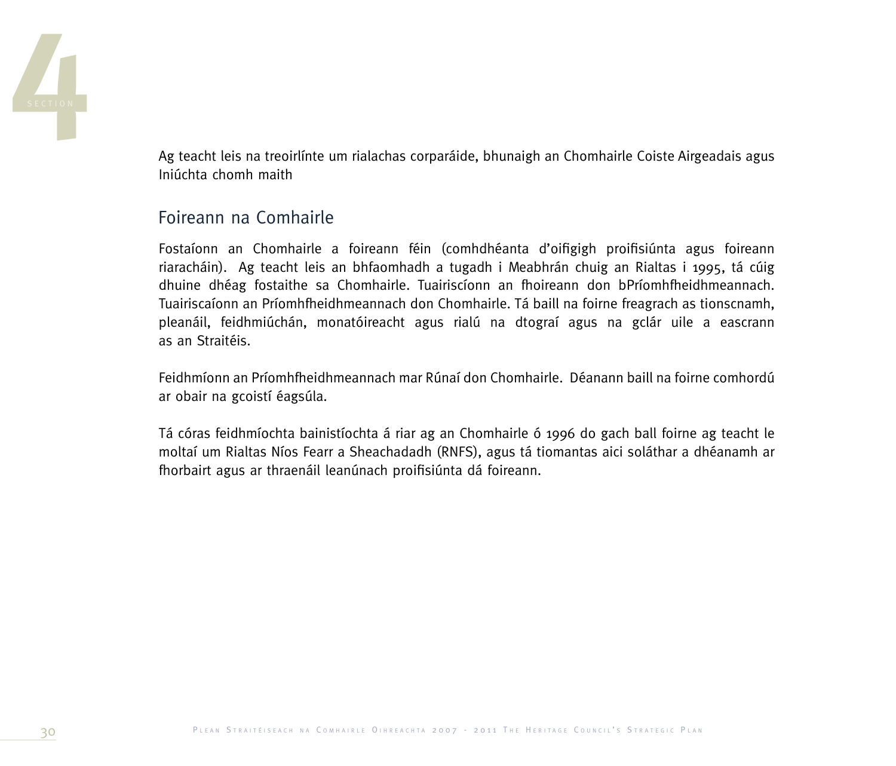

Ag teacht leis na treoirlínte um rialachas corparáide, bhunaigh an Chomhairle Coiste Airgeadais agus Iniúchta chomh maith

#### Foireann na Comhairle

Fostaíonn an Chomhairle a foireann féin (comhdhéanta d'oifigigh proifisiúnta agus foireann riaracháin). Ag teacht leis an bhfaomhadh a tugadh i Meabhrán chuig an Rialtas i 1995, tá cúig dhuine dhéag fostaithe sa Chomhairle. Tuairiscíonn an fhoireann don bPríomhfheidhmeannach. Tuairiscaíonn an Príomhfheidhmeannach don Chomhairle. Tá baill na foirne freagrach as tionscnamh, pleanáil, feidhmiúchán, monatóireacht agus rialú na dtograí agus na gclár uile a eascrann as an Straitéis.

Feidhmíonn an Príomhfheidhmeannach mar Rúnaí don Chomhairle. Déanann baill na foirne comhordú ar obair na gcoistí éagsúla.

Tá córas feidhmíochta bainistíochta á riar ag an Chomhairle ó 1996 do gach ball foirne ag teacht le moltaí um Rialtas Níos Fearr a Sheachadadh (RNFS), agus tá tiomantas aici soláthar a dhéanamh ar fhorbairt agus ar thraenáil leanúnach proifisiúnta dá foireann.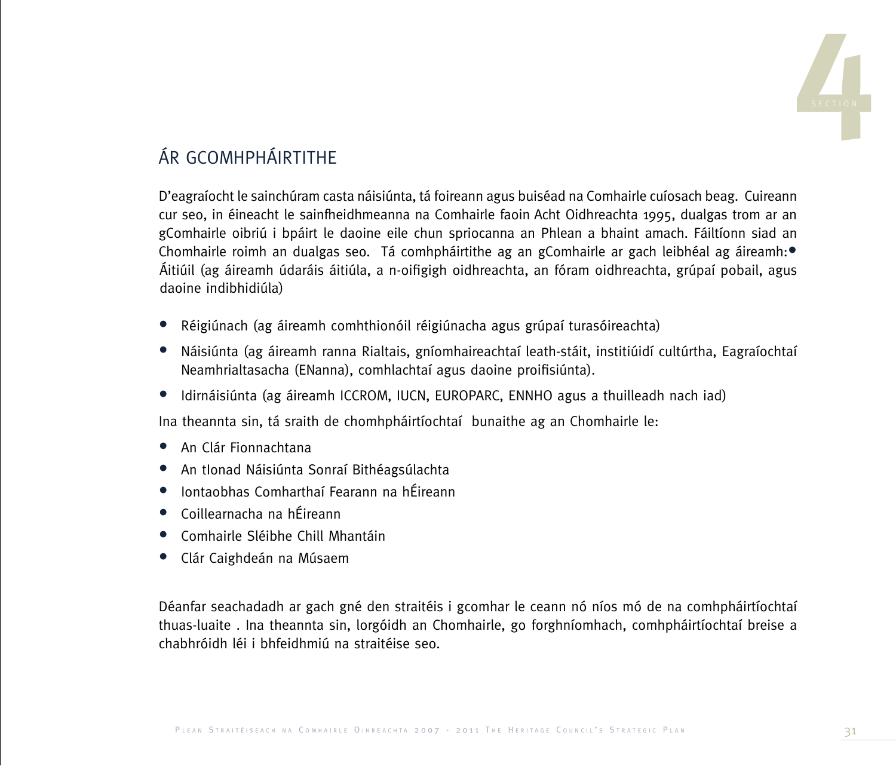

# ÁR GCOMHPHÁIRTITHE

D'eagraíocht le sainchúram casta náisiúnta, tá foireann agus buiséad na Comhairle cuíosach beag. Cuireann cur seo, in éineacht le sainfheidhmeanna na Comhairle faoin Acht Oidhreachta 1995, dualgas trom ar an gComhairle oibriú i bpáirt le daoine eile chun spriocanna an Phlean a bhaint amach. Fáiltíonn siad an Chomhairle roimh an dualgas seo. Tá comhpháirtithe ag an gComhairle ar gach leibhéal ag áireamh:• Áitiúil (ag áireamh údaráis áitiúla, a n-oifigigh oidhreachta, an fóram oidhreachta, grúpaí pobail, agus daoine indibhidiúla)

- Réigiúnach (ag áireamh comhthionóil réigiúnacha agus grúpaí turasóireachta)
- Náisiúnta (ag áireamh ranna Rialtais, gníomhaireachtaí leath-stáit, institiúidí cultúrtha, Eagraíochtaí Neamhrialtasacha (ENanna), comhlachtaí agus daoine proifisiúnta).
- Idirnáisiúnta (ag áireamh ICCROM, IUCN, EUROPARC, ENNHO agus a thuilleadh nach iad)

Ina theannta sin, tá sraith de chomhpháirtíochtaí bunaithe ag an Chomhairle le:

- An Clár Fionnachtana
- An tIonad Náisiúnta Sonraí Bithéagsúlachta
- Iontaobhas Comharthaí Fearann na hÉireann
- Coillearnacha na hÉireann
- Comhairle Sléibhe Chill Mhantáin
- Clár Caighdeán na Músaem

Déanfar seachadadh ar gach gné den straitéis i gcomhar le ceann nó níos mó de na comhpháirtíochtaí thuas-luaite . Ina theannta sin, lorgóidh an Chomhairle, go forghníomhach, comhpháirtíochtaí breise a chabhróidh léi i bhfeidhmiú na straitéise seo.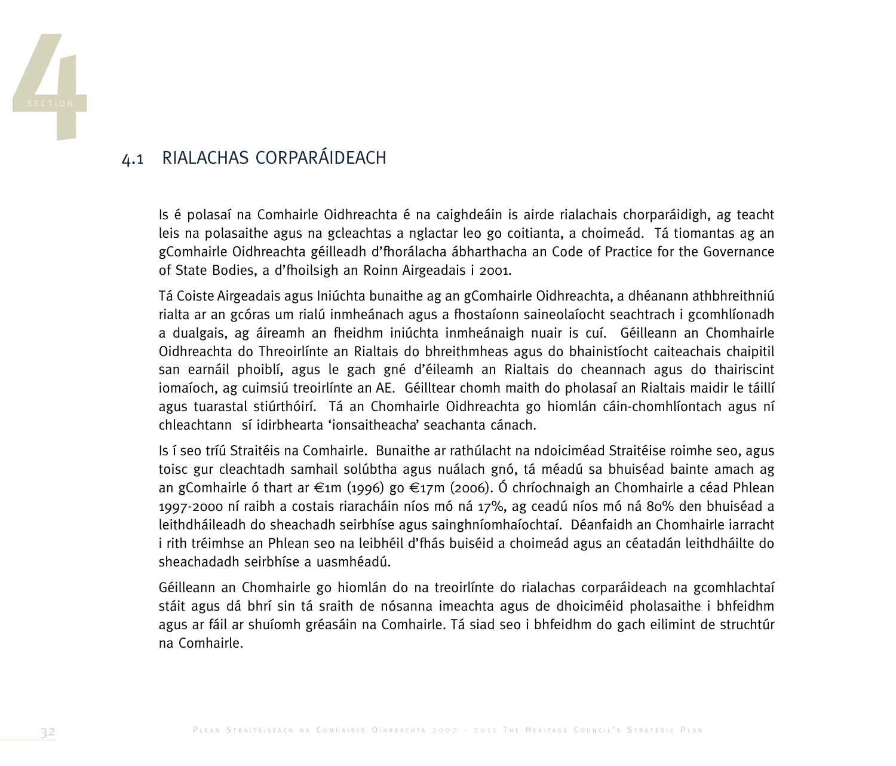

# 4.1 RIALACHAS CORPARÁIDEACH

Is é polasaí na Comhairle Oidhreachta é na caighdeáin is airde rialachais chorparáidigh, ag teacht leis na polasaithe agus na gcleachtas a nglactar leo go coitianta, a choimeád. Tá tiomantas ag an gComhairle Oidhreachta géilleadh d'fhorálacha ábharthacha an Code of Practice for the Governance of State Bodies, a d'fhoilsigh an Roinn Airgeadais i 2001.

Tá Coiste Airgeadais agus Iniúchta bunaithe ag an gComhairle Oidhreachta, a dhéanann athbhreithniú rialta ar an gcóras um rialú inmheánach agus a fhostaíonn saineolaíocht seachtrach i gcomhlíonadh a dualgais, ag áireamh an fheidhm iniúchta inmheánaigh nuair is cuí. Géilleann an Chomhairle Oidhreachta do Threoirlínte an Rialtais do bhreithmheas agus do bhainistíocht caiteachais chaipitil san earnáil phoiblí, agus le gach gné d'éileamh an Rialtais do cheannach agus do thairiscint iomaíoch, ag cuimsiú treoirlínte an AE. Géilltear chomh maith do pholasaí an Rialtais maidir le táillí agus tuarastal stiúrthóirí. Tá an Chomhairle Oidhreachta go hiomlán cáin-chomhlíontach agus ní chleachtann sí idirbhearta 'ionsaitheacha' seachanta cánach.

Is í seo tríú Straitéis na Comhairle. Bunaithe ar rathúlacht na ndoiciméad Straitéise roimhe seo, agus toisc gur cleachtadh samhail solúbtha agus nuálach gnó, tá méadú sa bhuiséad bainte amach ag an gComhairle ó thart ar €1m (1996) go €17m (2006). Ó chríochnaigh an Chomhairle a céad Phlean 1997-2000 ní raibh a costais riaracháin níos mó ná 17%, ag ceadú níos mó ná 80% den bhuiséad a leithdháileadh do sheachadh seirbhíse agus sainghníomhaíochtaí. Déanfaidh an Chomhairle iarracht i rith tréimhse an Phlean seo na leibhéil d'fhás buiséid a choimeád agus an céatadán leithdháilte do sheachadadh seirbhíse a uasmhéadú.

Géilleann an Chomhairle go hiomlán do na treoirlínte do rialachas corparáideach na gcomhlachtaí stáit agus dá bhrí sin tá sraith de nósanna imeachta agus de dhoiciméid pholasaithe i bhfeidhm agus ar fáil ar shuíomh gréasáin na Comhairle. Tá siad seo i bhfeidhm do gach eilimint de struchtúr na Comhairle.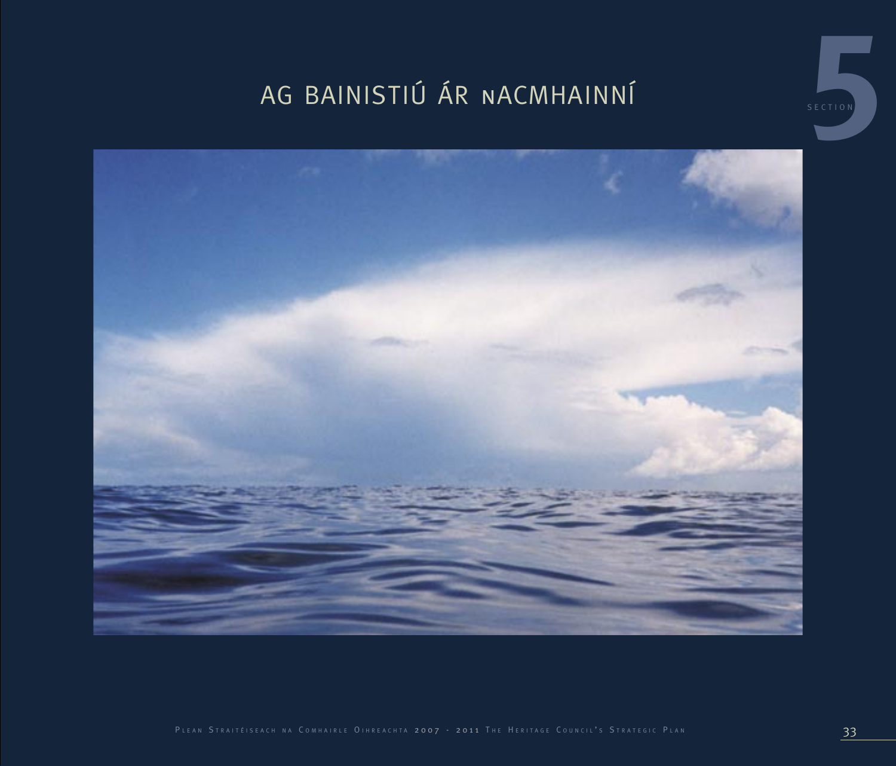# AG BAINISTIÚ ÁR NACMHAINNÍ

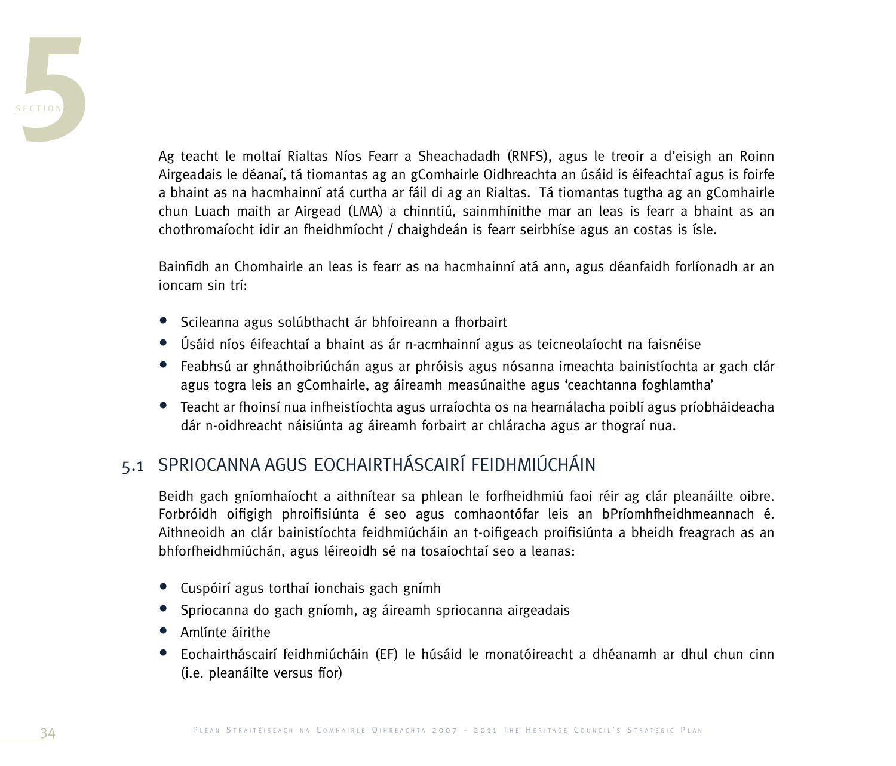

Ag teacht le moltaí Rialtas Níos Fearr a Sheachadadh (RNFS), agus le treoir a d'eisigh an Roinn Airgeadais le déanaí, tá tiomantas ag an gComhairle Oidhreachta an úsáid is éifeachtaí agus is foirfe a bhaint as na hacmhainní atá curtha ar fáil di ag an Rialtas. Tá tiomantas tugtha ag an gComhairle chun Luach maith ar Airgead (LMA) a chinntiú, sainmhínithe mar an leas is fearr a bhaint as an chothromaíocht idir an fheidhmíocht / chaighdeán is fearr seirbhíse agus an costas is ísle.

Bainfidh an Chomhairle an leas is fearr as na hacmhainní atá ann, agus déanfaidh forlíonadh ar an ioncam sin trí:

- Scileanna agus solúbthacht ár bhfoireann a fhorbairt
- Úsáid níos éifeachtaí a bhaint as ár n-acmhainní agus as teicneolaíocht na faisnéise
- Feabhsú ar ghnáthoibriúchán agus ar phróisis agus nósanna imeachta bainistíochta ar gach clár agus togra leis an gComhairle, ag áireamh measúnaithe agus 'ceachtanna foghlamtha'
- Teacht ar fhoinsí nua infheistíochta agus urraíochta os na hearnálacha poiblí agus príobháideacha dár n-oidhreacht náisiúnta ag áireamh forbairt ar chláracha agus ar thograí nua.

# 5.1 SPRIOCANNA AGUS EOCHAIRTHÁSCAIRÍ FEIDHMIÚCHÁIN

Beidh gach gníomhaíocht a aithnítear sa phlean le forfheidhmiú faoi réir ag clár pleanáilte oibre. Forbróidh oifigigh phroifisiúnta é seo agus comhaontófar leis an bPríomhfheidhmeannach é. Aithneoidh an clár bainistíochta feidhmiúcháin an t-oifigeach proifisiúnta a bheidh freagrach as an bhforfheidhmiúchán, agus léireoidh sé na tosaíochtaí seo a leanas:

- Cuspóirí agus torthaí ionchais gach gnímh
- Spriocanna do gach gníomh, ag áireamh spriocanna airgeadais
- Amlínte áirithe
- Eochairtháscairí feidhmiúcháin (EF) le húsáid le monatóireacht a dhéanamh ar dhul chun cinn (i.e. pleanáilte versus fíor)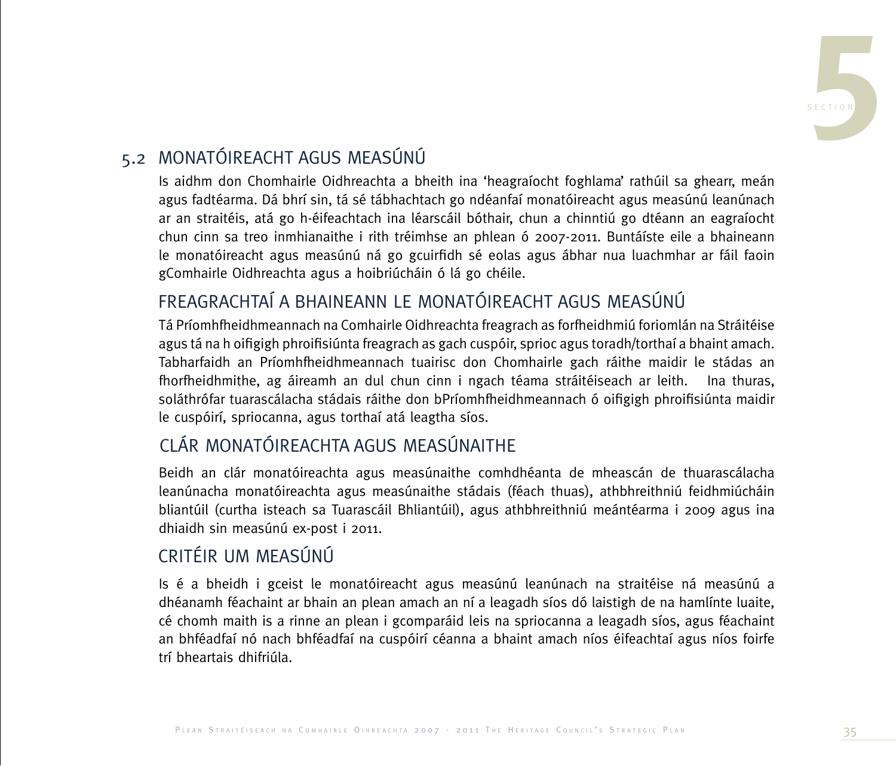

# 5.2 MONATÓIREACHT AGUS MEASÚNÚ

Is aidhm don Chomhairle Oidhreachta a bheith ina 'heagraíocht foghlama' rathúil sa ghearr, meán agus fadtéarma. Dá bhrí sin, tá sé tábhachtach go ndéanfaí monatóireacht agus measúnú leanúnach ar an straitéis, atá go h-éifeachtach ina léarscáil bóthair, chun a chinntiú go dtéann an eagraíocht chun cinn sa treo inmhianaithe i rith tréimhse an phlean ó 2007-2011. Buntáíste eile a bhaineann le monatóireacht agus measúnú ná go gcuirfidh sé eolas agus ábhar nua luachmhar ar fáil faoin gComhairle Oidhreachta agus a hoibriúcháin ó lá go chéile.

# FREAGRACHTAÍ A BHAINEANN LE MONATÓIREACHT AGUS MEASÚNÚ

Tá Príomhfheidhmeannach na Comhairle Oidhreachta freagrach as forfheidhmiú foriomlán na Stráitéise agus tá na h oifigigh phroifisiúnta freagrach as gach cuspóir, sprioc agus toradh/torthaí a bhaint amach. Tabharfaidh an Príomhfheidhmeannach tuairisc don Chomhairle gach ráithe maidir le stádas an fhorfheidhmithe, ag áireamh an dul chun cinn i ngach téama stráitéiseach ar leith. Ina thuras, soláthrófar tuarascálacha stádais ráithe don bPríomhfheidhmeannach ó oifigigh phroifisiúnta maidir le cuspóirí, spriocanna, agus torthaí atá leagtha síos.

#### CLÁR MONATÓIREACHTA AGUS MEASÚNAITHE

Beidh an clár monatóireachta agus measúnaithe comhdhéanta de mheascán de thuarascálacha leanúnacha monatóireachta agus measúnaithe stádais (féach thuas), athbhreithniú feidhmiúcháin bliantúil (curtha isteach sa Tuarascáil Bhliantúil), agus athbhreithniú meántéarma i 2009 agus ina dhiaidh sin measúnú ex-post i 2011.

# CRITÉIR UM MEASÚNÚ

Is é a bheidh i gceist le monatóireacht agus measúnú leanúnach na straitéise ná measúnú a dhéanamh féachaint ar bhain an plean amach an ní a leagadh síos dó laistigh de na hamlínte luaite, cé chomh maith is a rinne an plean i gcomparáid leis na spriocanna a leagadh síos, agus féachaint an bhféadfaí nó nach bhféadfaí na cuspóirí céanna a bhaint amach níos éifeachtaí agus níos foirfe trí bheartais dhifriúla.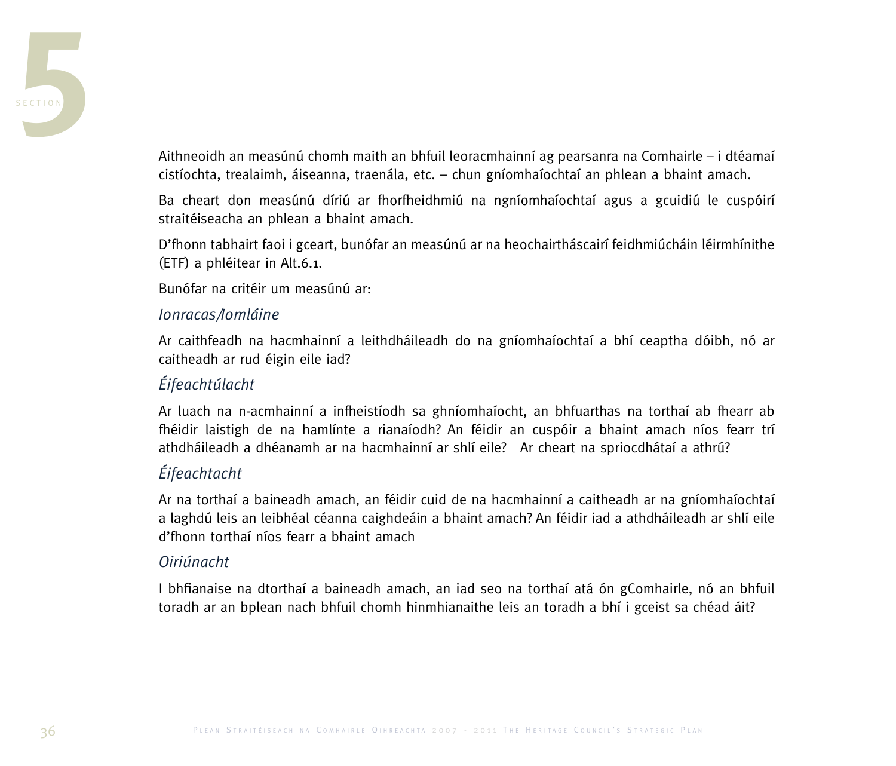

Aithneoidh an measúnú chomh maith an bhfuil leoracmhainní ag pearsanra na Comhairle – i dtéamaí cistíochta, trealaimh, áiseanna, traenála, etc. – chun gníomhaíochtaí an phlean a bhaint amach.

Ba cheart don measúnú díriú ar fhorfheidhmiú na ngníomhaíochtaí agus a gcuidiú le cuspóirí straitéiseacha an phlean a bhaint amach.

D'fhonn tabhairt faoi i gceart, bunófar an measúnú ar na heochairtháscairí feidhmiúcháin léirmhínithe (ETF) a phléitear in Alt.6.1.

Bunófar na critéir um measúnú ar:

#### *Ionracas/Iomláine*

Ar caithfeadh na hacmhainní a leithdháileadh do na gníomhaíochtaí a bhí ceaptha dóibh, nó ar caitheadh ar rud éigin eile iad?

#### *Éifeachtúlacht*

Ar luach na n-acmhainní a infheistíodh sa ghníomhaíocht, an bhfuarthas na torthaí ab fhearr ab fhéidir laistigh de na hamlínte a rianaíodh? An féidir an cuspóir a bhaint amach níos fearr trí athdháileadh a dhéanamh ar na hacmhainní ar shlí eile? Ar cheart na spriocdhátaí a athrú?

#### *Éifeachtacht*

Ar na torthaí a baineadh amach, an féidir cuid de na hacmhainní a caitheadh ar na gníomhaíochtaí a laghdú leis an leibhéal céanna caighdeáin a bhaint amach? An féidir iad a athdháileadh ar shlí eile d'fhonn torthaí níos fearr a bhaint amach

#### *Oiriúnacht*

I bhfianaise na dtorthaí a baineadh amach, an iad seo na torthaí atá ón gComhairle, nó an bhfuil toradh ar an bplean nach bhfuil chomh hinmhianaithe leis an toradh a bhí i gceist sa chéad áit?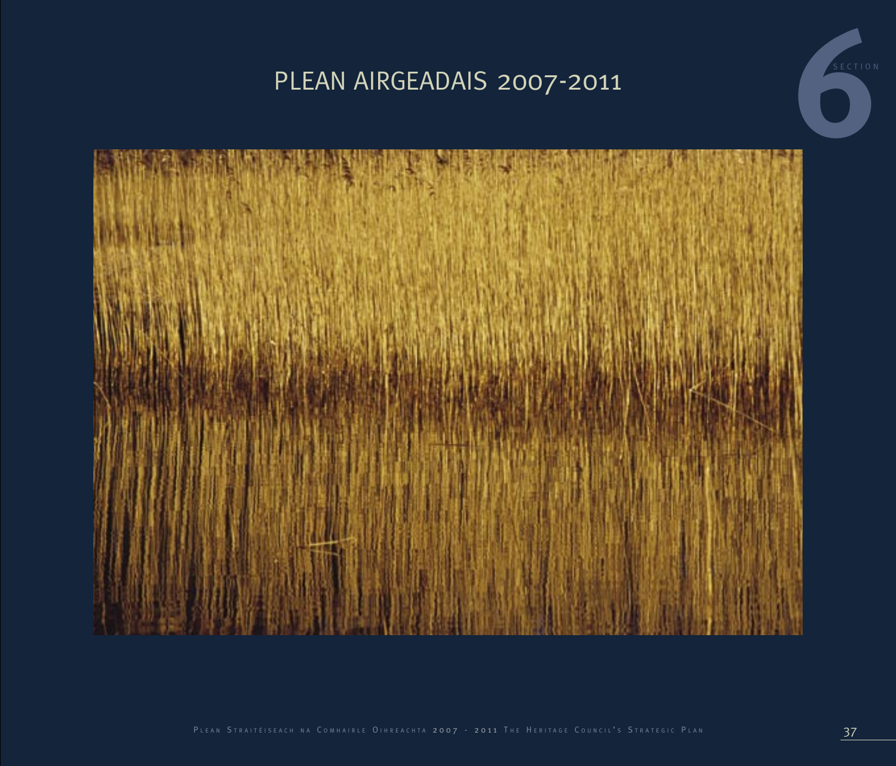PLEAN AIRGEADAIS 2007-2011 **6**



S E C T I O N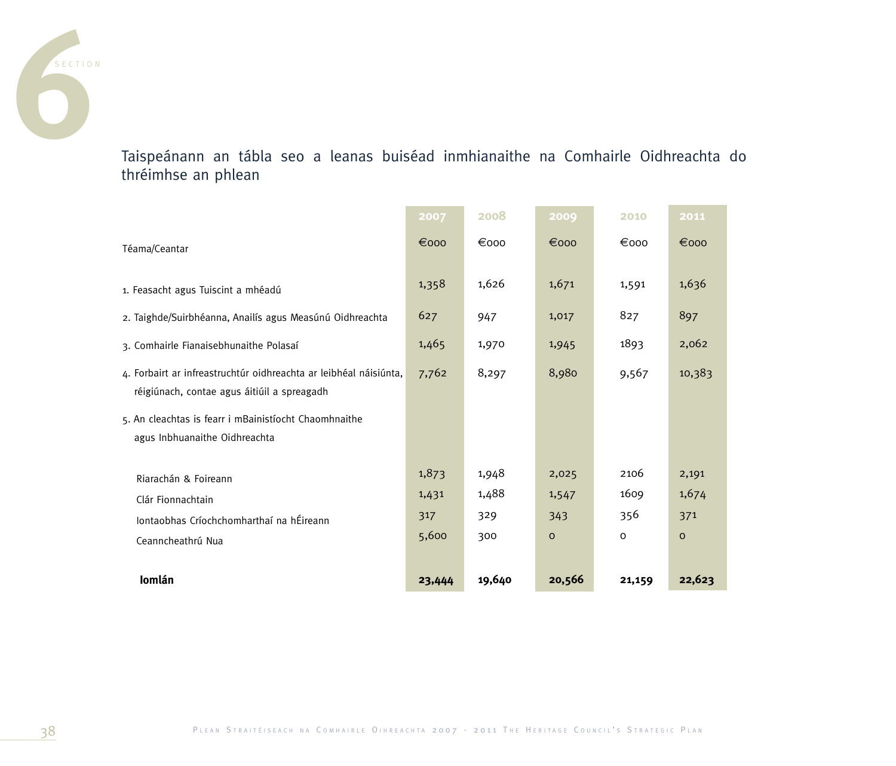

#### Taispeánann an tábla seo a leanas buiséad inmhianaithe na Comhairle Oidhreachta do thréimhse an phlean.

|                                                                   | 2007   | 2008   | 2009     | 2010    | 2011         |
|-------------------------------------------------------------------|--------|--------|----------|---------|--------------|
| Téama/Ceantar                                                     | €000   | €000   | €000     | €000    | €000         |
|                                                                   |        |        |          |         |              |
| 1. Feasacht agus Tuiscint a mhéadú                                | 1,358  | 1,626  | 1,671    | 1,591   | 1,636        |
| 2. Taighde/Suirbhéanna, Anailís agus Measúnú Oidhreachta          | 627    | 947    | 1,017    | 827     | 897          |
| 3. Comhairle Fianaisebhunaithe Polasaí                            | 1,465  | 1,970  | 1,945    | 1893    | 2,062        |
| 4. Forbairt ar infreastruchtúr oidhreachta ar leibhéal náisiúnta, | 7,762  | 8,297  | 8,980    | 9,567   | 10,383       |
| réigiúnach, contae agus áitiúil a spreagadh                       |        |        |          |         |              |
| 5. An cleachtas is fearr i mBainistíocht Chaomhnaithe             |        |        |          |         |              |
| agus Inbhuanaithe Oidhreachta                                     |        |        |          |         |              |
| Riarachán & Foireann                                              | 1,873  | 1,948  | 2,025    | 2106    | 2,191        |
| Clár Fionnachtain                                                 | 1,431  | 1,488  | 1,547    | 1609    | 1,674        |
| Jontaobhas Críochchomharthaí na hÉireann                          | 317    | 329    | 343      | 356     | 371          |
| Ceanncheathrú Nua                                                 | 5,600  | 300    | $\Omega$ | $\circ$ | $\mathbf{O}$ |
|                                                                   |        |        |          |         |              |
| <b>lomlán</b>                                                     | 23,444 | 19,640 | 20,566   | 21,159  | 22,623       |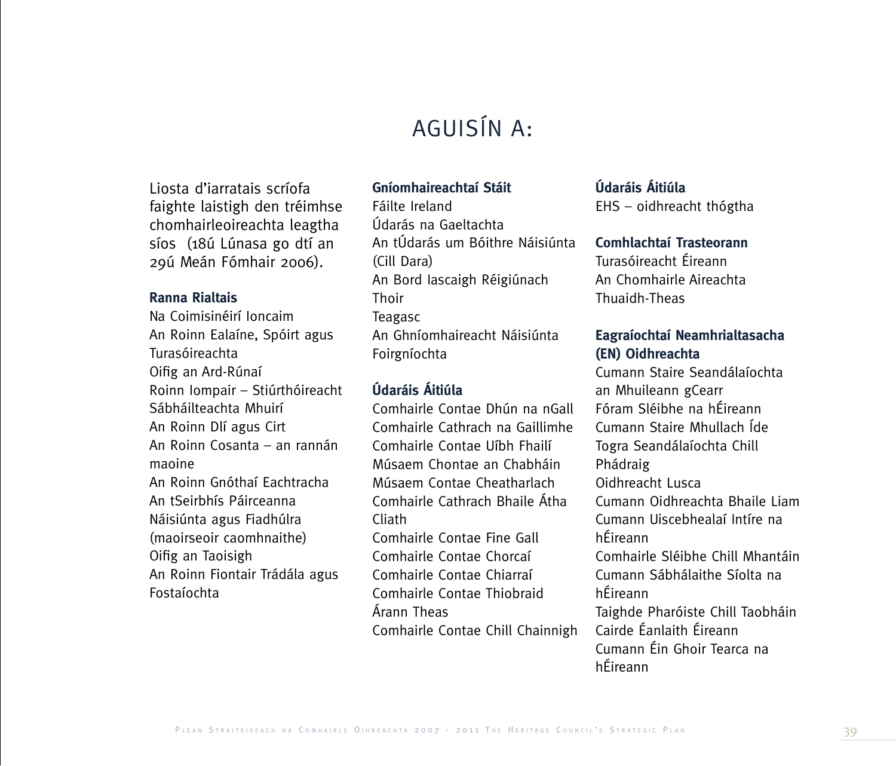# AGUISÍN A:

Liosta d'iarratais scríofa faighte laistigh den tréimhse chomhairleoireachta leagtha síos (18ú Lúnasa go dtí an 29ú Meán Fómhair 2006).

#### **Ranna Rialtais**

Na Coimisinéirí Ioncaim An Roinn Ealaíne, Spóirt agus Turasóireachta Oifig an Ard-Rúnaí Roinn Iompair – Stiúrthóireacht Sábháilteachta Mhuirí An Roinn Dlí agus Cirt An Roinn Cosanta – an rannán maoine An Roinn Gnóthaí Eachtracha An tSeirbhís Páirceanna Náisiúnta agus Fiadhúlra (maoirseoir caomhnaithe) Oifig an Taoisigh An Roinn Fiontair Trádála agus Fostaíochta

#### **Gníomhaireachtaí Stáit**

Fáilte Ireland Údarás na Gaeltachta An tÚdarás um Bóithre Náisiúnta (Cill Dara) An Bord Iascaigh Réigiúnach Thoir Teagasc An Ghníomhaireacht Náisiúnta Foirgníochta

#### **Údaráis Áitiúla**

Comhairle Contae Dhún na nGall Comhairle Cathrach na Gaillimhe Comhairle Contae Uíbh Fhailí Músaem Chontae an Chabháin Músaem Contae Cheatharlach Comhairle Cathrach Bhaile Átha Cliath Comhairle Contae Fine Gall Comhairle Contae Chorcaí Comhairle Contae Chiarraí Comhairle Contae Thiobraid Árann Theas Comhairle Contae Chill Chainnigh

#### **Údaráis Áitiúla** EHS – oidhreacht thógtha

#### **Comhlachtaí Trasteorann**

Turasóireacht Éireann An Chomhairle Aireachta Thuaidh-Theas

#### **Eagraíochtaí Neamhrialtasacha (EN) Oidhreachta**

Cumann Staire Seandálaíochta an Mhuileann gCearr Fóram Sléibhe na hÉireann Cumann Staire Mhullach Íde Togra Seandálaíochta Chill Phádraig Oidhreacht Lusca Cumann Oidhreachta Bhaile Liam Cumann Uiscebhealaí Intíre na hÉireann Comhairle Sléibhe Chill Mhantáin Cumann Sábhálaithe Síolta na hÉireann Taighde Pharóiste Chill Taobháin Cairde Éanlaith Éireann Cumann Éin Ghoir Tearca na hÉireann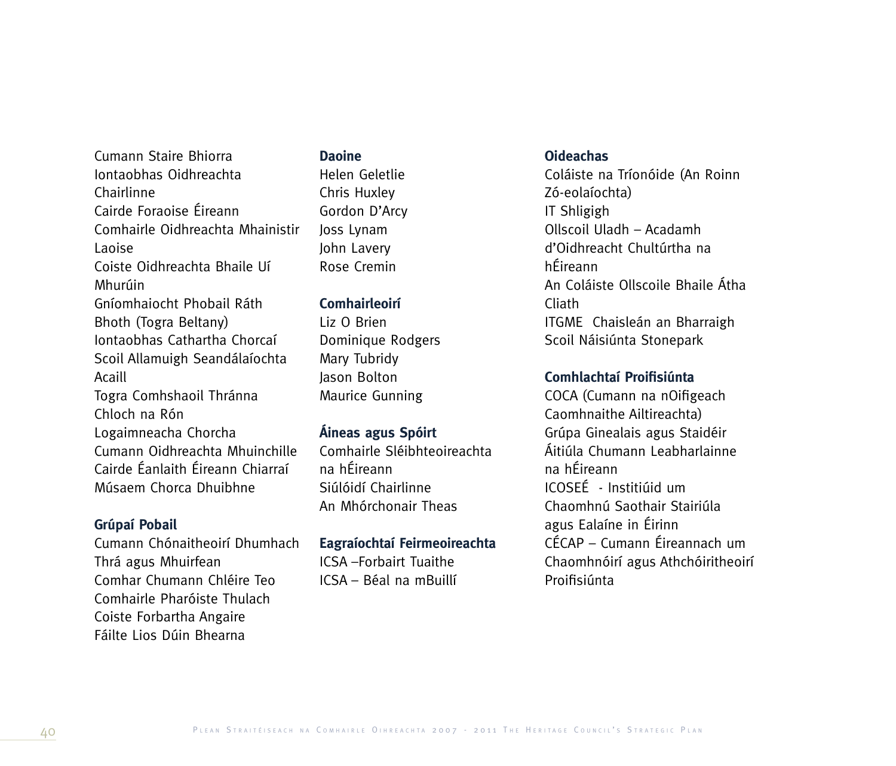Cumann Staire Bhiorra Iontaobhas Oidhreachta Chairlinne Cairde Foraoise Éireann Comhairle Oidhreachta Mhainistir Laoise Coiste Oidhreachta Bhaile Uí Mhurúin Gníomhaiocht Phobail Ráth Bhoth (Togra Beltany) Iontaobhas Cathartha Chorcaí Scoil Allamuigh Seandálaíochta Acaill Togra Comhshaoil Thránna Chloch na Rón Logaimneacha Chorcha Cumann Oidhreachta Mhuinchille Cairde Éanlaith Éireann Chiarraí Músaem Chorca Dhuibhne

#### **Grúpaí Pobail**

Cumann Chónaitheoirí Dhumhach Thrá agus Mhuirfean Comhar Chumann Chléire Teo Comhairle Pharóiste Thulach Coiste Forbartha Angaire Fáilte Lios Dúin Bhearna

#### **Daoine**

Helen Geletlie Chris Huxley Gordon D'Arcy Joss Lynam John Lavery Rose Cremin

#### **Comhairleoirí**

Liz O Brien Dominique Rodgers Mary Tubridy Jason Bolton Maurice Gunning

#### **Áineas agus Spóirt**

Comhairle Sléibhteoireachta na hÉireann Siúlóidí Chairlinne An Mhórchonair Theas

#### **Eagraíochtaí Feirmeoireachta**

ICSA –Forbairt Tuaithe ICSA – Béal na mBuillí

#### **Oideachas**

Coláiste na Tríonóide (An Roinn Zó-eolaíochta) IT Shligigh Ollscoil Uladh – Acadamh d'Oidhreacht Chultúrtha na hÉireann An Coláiste Ollscoile Bhaile Átha Cliath ITGME Chaisleán an Bharraigh Scoil Náisiúnta Stonepark

#### **Comhlachtaí Proifisiúnta**

COCA (Cumann na nOifigeach Caomhnaithe Ailtireachta) Grúpa Ginealais agus Staidéir Áitiúla Chumann Leabharlainne na hÉireann ICOSEÉ - Institiúid um Chaomhnú Saothair Stairiúla agus Ealaíne in Éirinn CÉCAP – Cumann Éireannach um Chaomhnóirí agus Athchóiritheoirí Proifisiúnta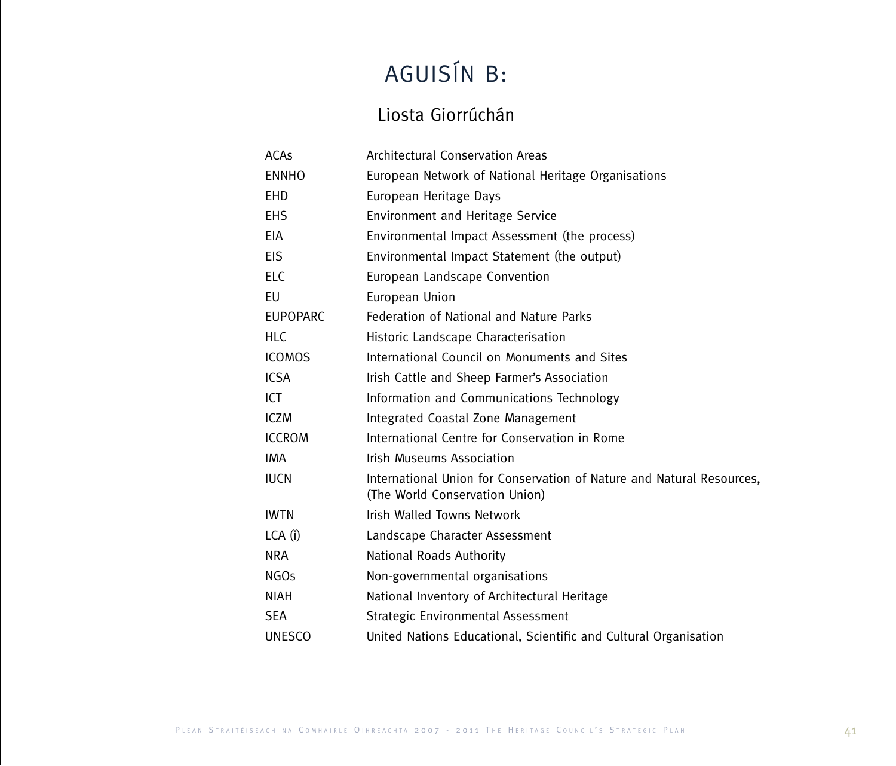# AGUISÍN B:

#### Liosta Giorrúchán

| <b>ACAs</b>     | <b>Architectural Conservation Areas</b>                                                                 |
|-----------------|---------------------------------------------------------------------------------------------------------|
| <b>ENNHO</b>    | European Network of National Heritage Organisations                                                     |
| EHD             | European Heritage Days                                                                                  |
| <b>EHS</b>      | <b>Environment and Heritage Service</b>                                                                 |
| EIA             | Environmental Impact Assessment (the process)                                                           |
| <b>EIS</b>      | Environmental Impact Statement (the output)                                                             |
| <b>ELC</b>      | European Landscape Convention                                                                           |
| EU              | European Union                                                                                          |
| <b>EUPOPARC</b> | Federation of National and Nature Parks                                                                 |
| <b>HLC</b>      | Historic Landscape Characterisation                                                                     |
| <b>ICOMOS</b>   | International Council on Monuments and Sites                                                            |
| <b>ICSA</b>     | Irish Cattle and Sheep Farmer's Association                                                             |
| ICT             | Information and Communications Technology                                                               |
| <b>ICZM</b>     | Integrated Coastal Zone Management                                                                      |
| <b>ICCROM</b>   | International Centre for Conservation in Rome                                                           |
| <b>IMA</b>      | Irish Museums Association                                                                               |
| <b>IUCN</b>     | International Union for Conservation of Nature and Natural Resources,<br>(The World Conservation Union) |
| <b>IWTN</b>     | Irish Walled Towns Network                                                                              |
| $LCA$ (i)       | Landscape Character Assessment                                                                          |
| <b>NRA</b>      | National Roads Authority                                                                                |
| <b>NGOs</b>     | Non-governmental organisations                                                                          |
| <b>NIAH</b>     | National Inventory of Architectural Heritage                                                            |
| <b>SEA</b>      | Strategic Environmental Assessment                                                                      |
| <b>UNESCO</b>   | United Nations Educational, Scientific and Cultural Organisation                                        |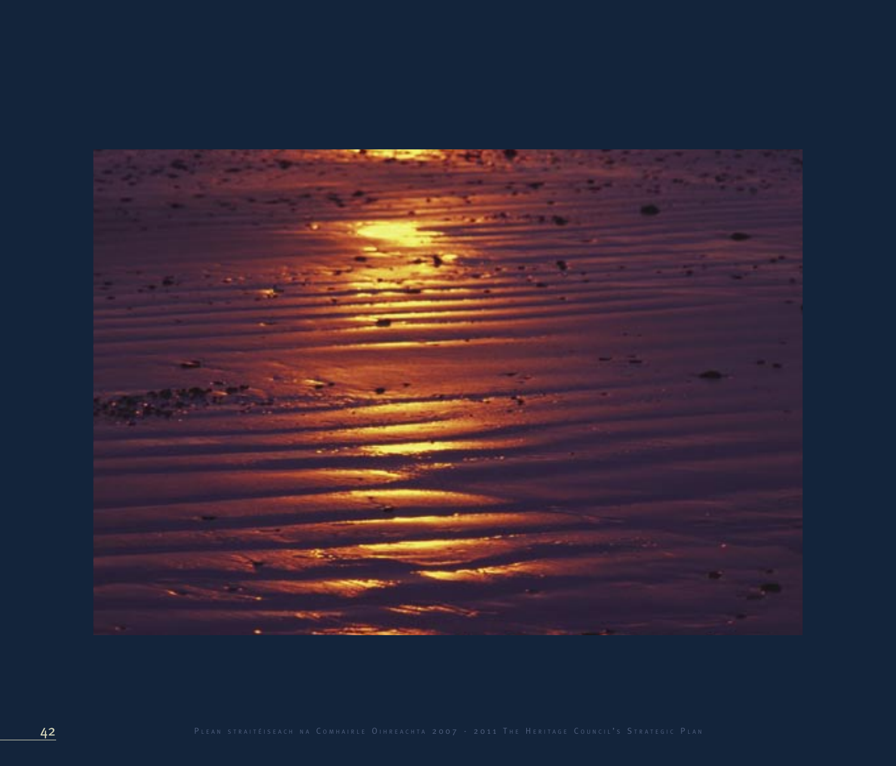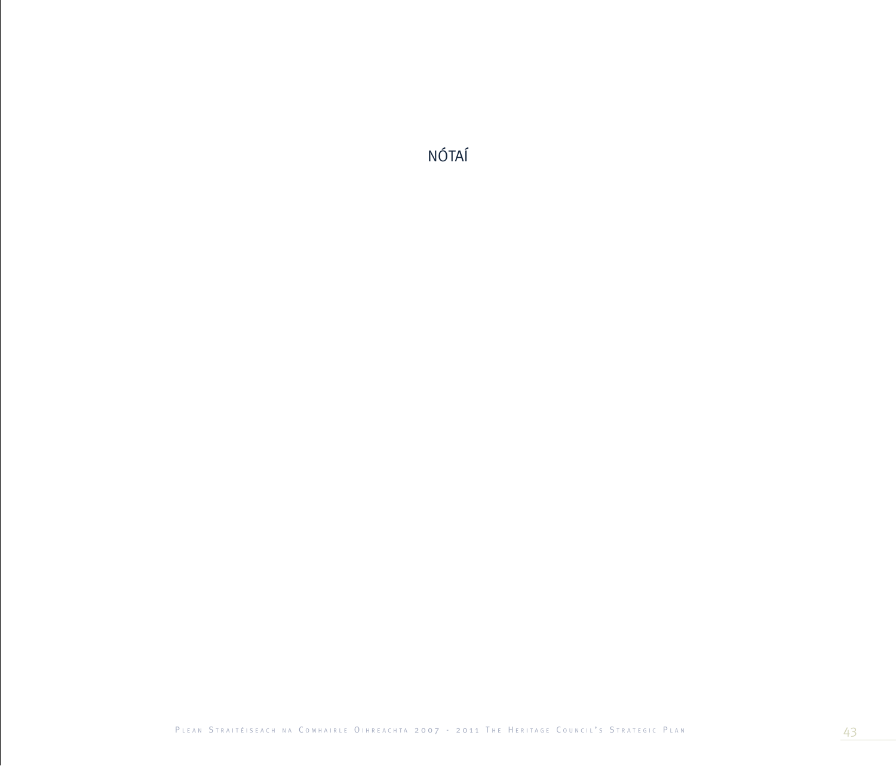NÓTAÍ